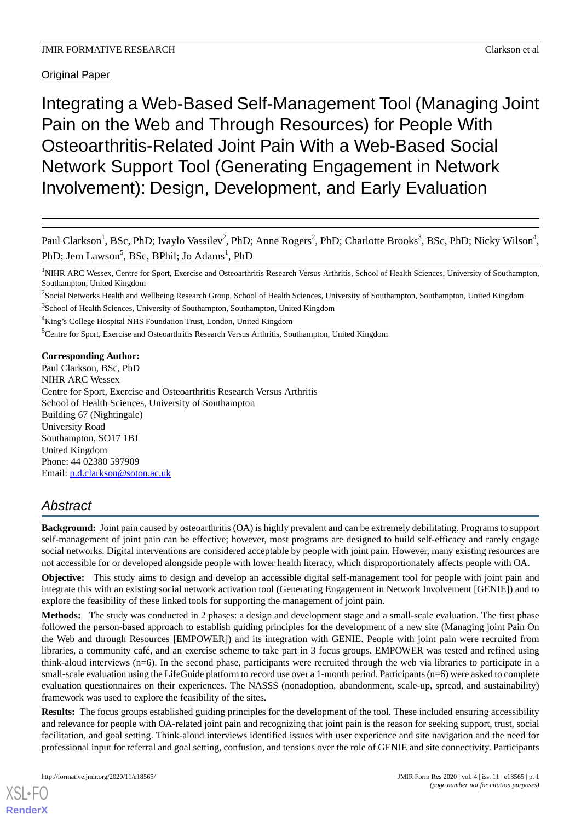Original Paper

Integrating a Web-Based Self-Management Tool (Managing Joint Pain on the Web and Through Resources) for People With Osteoarthritis-Related Joint Pain With a Web-Based Social Network Support Tool (Generating Engagement in Network Involvement): Design, Development, and Early Evaluation

Paul Clarkson<sup>1</sup>, BSc, PhD; Ivaylo Vassilev<sup>2</sup>, PhD; Anne Rogers<sup>2</sup>, PhD; Charlotte Brooks<sup>3</sup>, BSc, PhD; Nicky Wilson<sup>4</sup>, PhD; Jem Lawson<sup>5</sup>, BSc, BPhil; Jo Adams<sup>1</sup>, PhD

 $^2$ Social Networks Health and Wellbeing Research Group, School of Health Sciences, University of Southampton, Southampton, United Kingdom

<sup>3</sup>School of Health Sciences, University of Southampton, Southampton, United Kingdom

<sup>4</sup>King's College Hospital NHS Foundation Trust, London, United Kingdom

<sup>5</sup>Centre for Sport, Exercise and Osteoarthritis Research Versus Arthritis, Southampton, United Kingdom

## **Corresponding Author:**

Paul Clarkson, BSc, PhD NIHR ARC Wessex Centre for Sport, Exercise and Osteoarthritis Research Versus Arthritis School of Health Sciences, University of Southampton Building 67 (Nightingale) University Road Southampton, SO17 1BJ United Kingdom Phone: 44 02380 597909 Email: [p.d.clarkson@soton.ac.uk](mailto:p.d.clarkson@soton.ac.uk)

# *Abstract*

**Background:** Joint pain caused by osteoarthritis (OA) is highly prevalent and can be extremely debilitating. Programs to support self-management of joint pain can be effective; however, most programs are designed to build self-efficacy and rarely engage social networks. Digital interventions are considered acceptable by people with joint pain. However, many existing resources are not accessible for or developed alongside people with lower health literacy, which disproportionately affects people with OA.

**Objective:** This study aims to design and develop an accessible digital self-management tool for people with joint pain and integrate this with an existing social network activation tool (Generating Engagement in Network Involvement [GENIE]) and to explore the feasibility of these linked tools for supporting the management of joint pain.

**Methods:** The study was conducted in 2 phases: a design and development stage and a small-scale evaluation. The first phase followed the person-based approach to establish guiding principles for the development of a new site (Managing joint Pain On the Web and through Resources [EMPOWER]) and its integration with GENIE. People with joint pain were recruited from libraries, a community café, and an exercise scheme to take part in 3 focus groups. EMPOWER was tested and refined using think-aloud interviews (n=6). In the second phase, participants were recruited through the web via libraries to participate in a small-scale evaluation using the LifeGuide platform to record use over a 1-month period. Participants (n=6) were asked to complete evaluation questionnaires on their experiences. The NASSS (nonadoption, abandonment, scale-up, spread, and sustainability) framework was used to explore the feasibility of the sites.

**Results:** The focus groups established guiding principles for the development of the tool. These included ensuring accessibility and relevance for people with OA-related joint pain and recognizing that joint pain is the reason for seeking support, trust, social facilitation, and goal setting. Think-aloud interviews identified issues with user experience and site navigation and the need for professional input for referral and goal setting, confusion, and tensions over the role of GENIE and site connectivity. Participants

<sup>&</sup>lt;sup>1</sup>NIHR ARC Wessex, Centre for Sport, Exercise and Osteoarthritis Research Versus Arthritis, School of Health Sciences, University of Southampton, Southampton, United Kingdom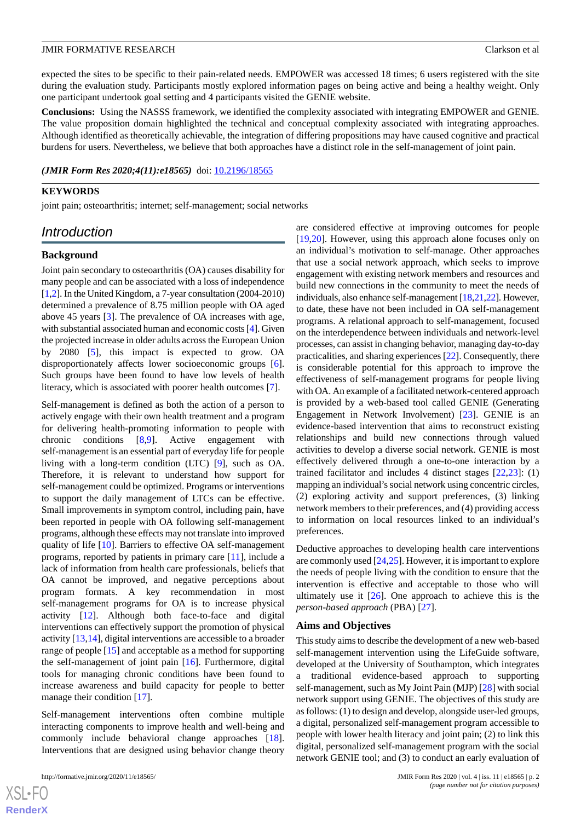expected the sites to be specific to their pain-related needs. EMPOWER was accessed 18 times; 6 users registered with the site during the evaluation study. Participants mostly explored information pages on being active and being a healthy weight. Only one participant undertook goal setting and 4 participants visited the GENIE website.

**Conclusions:** Using the NASSS framework, we identified the complexity associated with integrating EMPOWER and GENIE. The value proposition domain highlighted the technical and conceptual complexity associated with integrating approaches. Although identified as theoretically achievable, the integration of differing propositions may have caused cognitive and practical burdens for users. Nevertheless, we believe that both approaches have a distinct role in the self-management of joint pain.

(JMIR Form Res 2020;4(11):e18565) doi: [10.2196/18565](http://dx.doi.org/10.2196/18565)

#### **KEYWORDS**

joint pain; osteoarthritis; internet; self-management; social networks

# *Introduction*

#### **Background**

Joint pain secondary to osteoarthritis (OA) causes disability for many people and can be associated with a loss of independence [[1,](#page-11-0)[2](#page-11-1)]. In the United Kingdom, a 7-year consultation (2004-2010) determined a prevalence of 8.75 million people with OA aged above 45 years [\[3](#page-11-2)]. The prevalence of OA increases with age, with substantial associated human and economic costs [[4\]](#page-11-3). Given the projected increase in older adults across the European Union by 2080 [\[5](#page-11-4)], this impact is expected to grow. OA disproportionately affects lower socioeconomic groups [[6\]](#page-11-5). Such groups have been found to have low levels of health literacy, which is associated with poorer health outcomes [\[7](#page-11-6)].

Self-management is defined as both the action of a person to actively engage with their own health treatment and a program for delivering health-promoting information to people with chronic conditions [[8](#page-11-7)[,9](#page-11-8)]. Active engagement with self-management is an essential part of everyday life for people living with a long-term condition (LTC) [[9\]](#page-11-8), such as OA. Therefore, it is relevant to understand how support for self-management could be optimized. Programs or interventions to support the daily management of LTCs can be effective. Small improvements in symptom control, including pain, have been reported in people with OA following self-management programs, although these effects may not translate into improved quality of life [\[10](#page-11-9)]. Barriers to effective OA self-management programs, reported by patients in primary care [\[11](#page-12-0)], include a lack of information from health care professionals, beliefs that OA cannot be improved, and negative perceptions about program formats. A key recommendation in most self-management programs for OA is to increase physical activity [\[12](#page-12-1)]. Although both face-to-face and digital interventions can effectively support the promotion of physical activity [\[13](#page-12-2),[14\]](#page-12-3), digital interventions are accessible to a broader range of people [[15\]](#page-12-4) and acceptable as a method for supporting the self-management of joint pain [\[16](#page-12-5)]. Furthermore, digital tools for managing chronic conditions have been found to increase awareness and build capacity for people to better manage their condition [[17\]](#page-12-6).

Self-management interventions often combine multiple interacting components to improve health and well-being and commonly include behavioral change approaches [[18\]](#page-12-7). Interventions that are designed using behavior change theory

are considered effective at improving outcomes for people [[19,](#page-12-8)[20\]](#page-12-9). However, using this approach alone focuses only on an individual's motivation to self-manage. Other approaches that use a social network approach, which seeks to improve engagement with existing network members and resources and build new connections in the community to meet the needs of individuals, also enhance self-management [\[18](#page-12-7)[,21](#page-12-10)[,22](#page-12-11)]. However, to date, these have not been included in OA self-management programs. A relational approach to self-management, focused on the interdependence between individuals and network-level processes, can assist in changing behavior, managing day-to-day practicalities, and sharing experiences [\[22](#page-12-11)]. Consequently, there is considerable potential for this approach to improve the effectiveness of self-management programs for people living with OA. An example of a facilitated network-centered approach is provided by a web-based tool called GENIE (Generating Engagement in Network Involvement) [\[23](#page-12-12)]. GENIE is an evidence-based intervention that aims to reconstruct existing relationships and build new connections through valued activities to develop a diverse social network. GENIE is most effectively delivered through a one-to-one interaction by a trained facilitator and includes 4 distinct stages [\[22](#page-12-11),[23\]](#page-12-12): (1) mapping an individual's social network using concentric circles, (2) exploring activity and support preferences, (3) linking network members to their preferences, and (4) providing access to information on local resources linked to an individual's preferences.

Deductive approaches to developing health care interventions are commonly used [\[24](#page-12-13),[25\]](#page-12-14). However, it is important to explore the needs of people living with the condition to ensure that the intervention is effective and acceptable to those who will ultimately use it  $[26]$  $[26]$ . One approach to achieve this is the *person-based approach* (PBA) [[27\]](#page-12-16).

#### **Aims and Objectives**

This study aims to describe the development of a new web-based self-management intervention using the LifeGuide software, developed at the University of Southampton, which integrates a traditional evidence-based approach to supporting self-management, such as My Joint Pain (MJP) [\[28](#page-12-17)] with social network support using GENIE. The objectives of this study are as follows: (1) to design and develop, alongside user-led groups, a digital, personalized self-management program accessible to people with lower health literacy and joint pain; (2) to link this digital, personalized self-management program with the social network GENIE tool; and (3) to conduct an early evaluation of

 $XS$  $\cdot$ FC **[RenderX](http://www.renderx.com/)**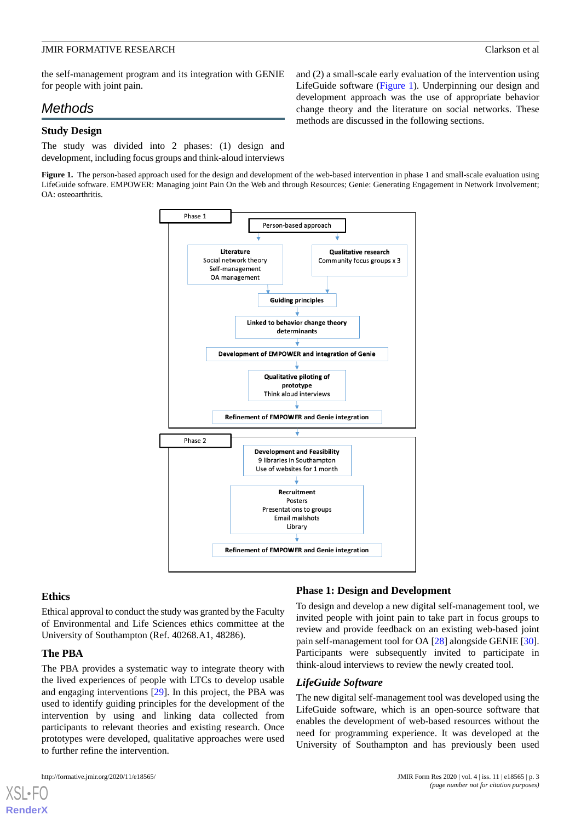and (2) a small-scale early evaluation of the intervention using LifeGuide software [\(Figure 1\)](#page-2-0). Underpinning our design and development approach was the use of appropriate behavior change theory and the literature on social networks. These

methods are discussed in the following sections.

the self-management program and its integration with GENIE for people with joint pain.

# *Methods*

## **Study Design**

<span id="page-2-0"></span>The study was divided into 2 phases: (1) design and development, including focus groups and think-aloud interviews

**Figure 1.** The person-based approach used for the design and development of the web-based intervention in phase 1 and small-scale evaluation using LifeGuide software. EMPOWER: Managing joint Pain On the Web and through Resources; Genie: Generating Engagement in Network Involvement; OA: osteoarthritis.



#### **Ethics**

Ethical approval to conduct the study was granted by the Faculty of Environmental and Life Sciences ethics committee at the University of Southampton (Ref. 40268.A1, 48286).

#### **The PBA**

[XSL](http://www.w3.org/Style/XSL)•FO **[RenderX](http://www.renderx.com/)**

The PBA provides a systematic way to integrate theory with the lived experiences of people with LTCs to develop usable and engaging interventions [[29\]](#page-12-18). In this project, the PBA was used to identify guiding principles for the development of the intervention by using and linking data collected from participants to relevant theories and existing research. Once prototypes were developed, qualitative approaches were used to further refine the intervention.

## **Phase 1: Design and Development**

To design and develop a new digital self-management tool, we invited people with joint pain to take part in focus groups to review and provide feedback on an existing web-based joint pain self-management tool for OA [\[28](#page-12-17)] alongside GENIE [[30\]](#page-12-19). Participants were subsequently invited to participate in think-aloud interviews to review the newly created tool.

#### *LifeGuide Software*

The new digital self-management tool was developed using the LifeGuide software, which is an open-source software that enables the development of web-based resources without the need for programming experience. It was developed at the University of Southampton and has previously been used

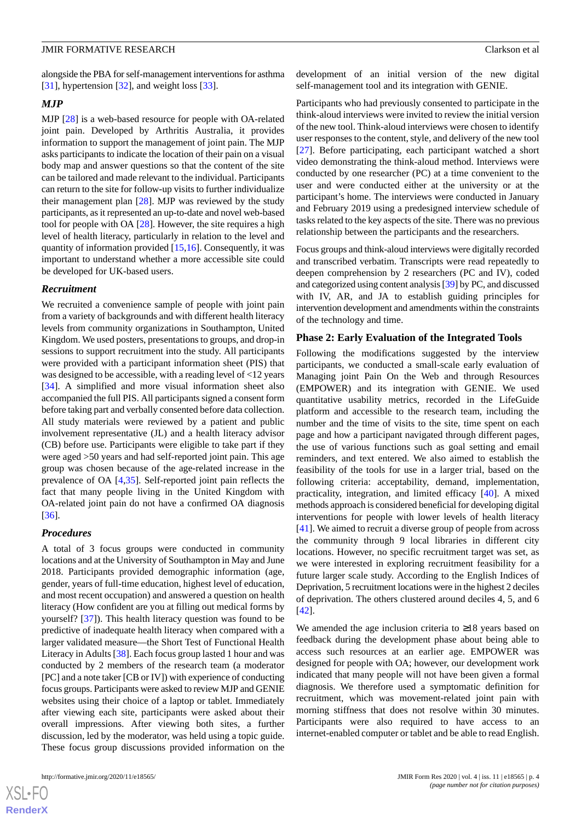alongside the PBA for self-management interventions for asthma [[31\]](#page-12-20), hypertension [[32\]](#page-12-21), and weight loss [\[33](#page-12-22)].

#### *MJP*

MJP [\[28](#page-12-17)] is a web-based resource for people with OA-related joint pain. Developed by Arthritis Australia, it provides information to support the management of joint pain. The MJP asks participants to indicate the location of their pain on a visual body map and answer questions so that the content of the site can be tailored and made relevant to the individual. Participants can return to the site for follow-up visits to further individualize their management plan [\[28](#page-12-17)]. MJP was reviewed by the study participants, as it represented an up-to-date and novel web-based tool for people with OA [\[28](#page-12-17)]. However, the site requires a high level of health literacy, particularly in relation to the level and quantity of information provided [[15,](#page-12-4)[16](#page-12-5)]. Consequently, it was important to understand whether a more accessible site could be developed for UK-based users.

#### *Recruitment*

We recruited a convenience sample of people with joint pain from a variety of backgrounds and with different health literacy levels from community organizations in Southampton, United Kingdom. We used posters, presentations to groups, and drop-in sessions to support recruitment into the study. All participants were provided with a participant information sheet (PIS) that was designed to be accessible, with a reading level of <12 years [[34\]](#page-13-0). A simplified and more visual information sheet also accompanied the full PIS. All participants signed a consent form before taking part and verbally consented before data collection. All study materials were reviewed by a patient and public involvement representative (JL) and a health literacy advisor (CB) before use. Participants were eligible to take part if they were aged >50 years and had self-reported joint pain. This age group was chosen because of the age-related increase in the prevalence of OA [\[4](#page-11-3),[35\]](#page-13-1). Self-reported joint pain reflects the fact that many people living in the United Kingdom with OA-related joint pain do not have a confirmed OA diagnosis [[36\]](#page-13-2).

#### *Procedures*

A total of 3 focus groups were conducted in community locations and at the University of Southampton in May and June 2018. Participants provided demographic information (age, gender, years of full-time education, highest level of education, and most recent occupation) and answered a question on health literacy (How confident are you at filling out medical forms by yourself? [\[37](#page-13-3)]). This health literacy question was found to be predictive of inadequate health literacy when compared with a larger validated measure—the Short Test of Functional Health Literacy in Adults [\[38](#page-13-4)]. Each focus group lasted 1 hour and was conducted by 2 members of the research team (a moderator [PC] and a note taker [CB or IV]) with experience of conducting focus groups. Participants were asked to review MJP and GENIE websites using their choice of a laptop or tablet. Immediately after viewing each site, participants were asked about their overall impressions. After viewing both sites, a further discussion, led by the moderator, was held using a topic guide. These focus group discussions provided information on the

 $XS$  $\cdot$ FC **[RenderX](http://www.renderx.com/)** development of an initial version of the new digital self-management tool and its integration with GENIE.

Participants who had previously consented to participate in the think-aloud interviews were invited to review the initial version of the new tool. Think-aloud interviews were chosen to identify user responses to the content, style, and delivery of the new tool [[27\]](#page-12-16). Before participating, each participant watched a short video demonstrating the think-aloud method. Interviews were conducted by one researcher (PC) at a time convenient to the user and were conducted either at the university or at the participant's home. The interviews were conducted in January and February 2019 using a predesigned interview schedule of tasks related to the key aspects of the site. There was no previous relationship between the participants and the researchers.

Focus groups and think-aloud interviews were digitally recorded and transcribed verbatim. Transcripts were read repeatedly to deepen comprehension by 2 researchers (PC and IV), coded and categorized using content analysis [\[39](#page-13-5)] by PC, and discussed with IV, AR, and JA to establish guiding principles for intervention development and amendments within the constraints of the technology and time.

#### **Phase 2: Early Evaluation of the Integrated Tools**

Following the modifications suggested by the interview participants, we conducted a small-scale early evaluation of Managing joint Pain On the Web and through Resources (EMPOWER) and its integration with GENIE. We used quantitative usability metrics, recorded in the LifeGuide platform and accessible to the research team, including the number and the time of visits to the site, time spent on each page and how a participant navigated through different pages, the use of various functions such as goal setting and email reminders, and text entered. We also aimed to establish the feasibility of the tools for use in a larger trial, based on the following criteria: acceptability, demand, implementation, practicality, integration, and limited efficacy [[40\]](#page-13-6). A mixed methods approach is considered beneficial for developing digital interventions for people with lower levels of health literacy [[41\]](#page-13-7). We aimed to recruit a diverse group of people from across the community through 9 local libraries in different city locations. However, no specific recruitment target was set, as we were interested in exploring recruitment feasibility for a future larger scale study. According to the English Indices of Deprivation, 5 recruitment locations were in the highest 2 deciles of deprivation. The others clustered around deciles 4, 5, and 6 [[42\]](#page-13-8).

We amended the age inclusion criteria to ≥18 years based on feedback during the development phase about being able to access such resources at an earlier age. EMPOWER was designed for people with OA; however, our development work indicated that many people will not have been given a formal diagnosis. We therefore used a symptomatic definition for recruitment, which was movement-related joint pain with morning stiffness that does not resolve within 30 minutes. Participants were also required to have access to an internet-enabled computer or tablet and be able to read English.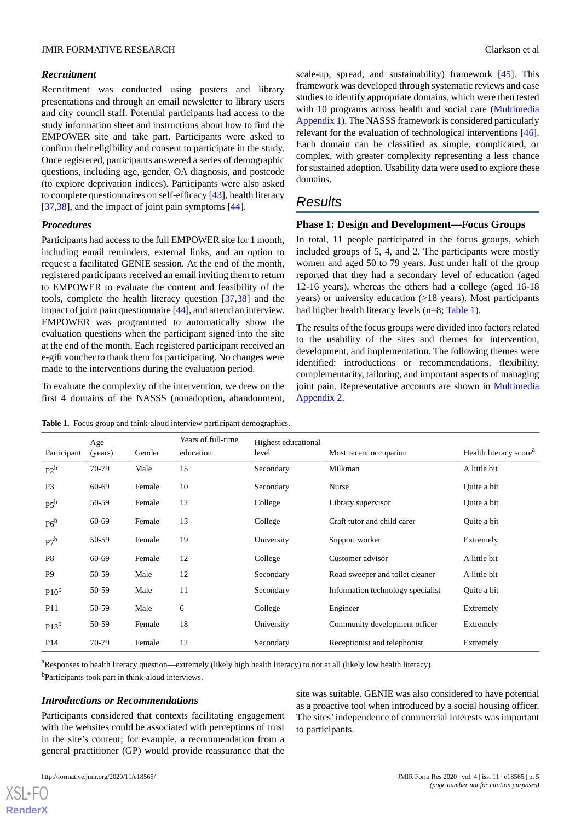#### *Recruitment*

Recruitment was conducted using posters and library presentations and through an email newsletter to library users and city council staff. Potential participants had access to the study information sheet and instructions about how to find the EMPOWER site and take part. Participants were asked to confirm their eligibility and consent to participate in the study. Once registered, participants answered a series of demographic questions, including age, gender, OA diagnosis, and postcode (to explore deprivation indices). Participants were also asked to complete questionnaires on self-efficacy [[43\]](#page-13-9), health literacy [[37](#page-13-3)[,38](#page-13-4)], and the impact of joint pain symptoms [\[44](#page-13-10)].

#### *Procedures*

Participants had access to the full EMPOWER site for 1 month, including email reminders, external links, and an option to request a facilitated GENIE session. At the end of the month, registered participants received an email inviting them to return to EMPOWER to evaluate the content and feasibility of the tools, complete the health literacy question [[37,](#page-13-3)[38](#page-13-4)] and the impact of joint pain questionnaire [\[44](#page-13-10)], and attend an interview. EMPOWER was programmed to automatically show the evaluation questions when the participant signed into the site at the end of the month. Each registered participant received an e-gift voucher to thank them for participating. No changes were made to the interventions during the evaluation period.

<span id="page-4-0"></span>To evaluate the complexity of the intervention, we drew on the first 4 domains of the NASSS (nonadoption, abandonment,

Table 1. Focus group and think-aloud interview participant demographics.

scale-up, spread, and sustainability) framework [[45\]](#page-13-11). This framework was developed through systematic reviews and case studies to identify appropriate domains, which were then tested with 10 programs across health and social care [\(Multimedia](#page-11-10) [Appendix 1\)](#page-11-10). The NASSS framework is considered particularly relevant for the evaluation of technological interventions [[46\]](#page-13-12). Each domain can be classified as simple, complicated, or complex, with greater complexity representing a less chance for sustained adoption. Usability data were used to explore these domains.

## *Results*

#### **Phase 1: Design and Development—Focus Groups**

In total, 11 people participated in the focus groups, which included groups of 5, 4, and 2. The participants were mostly women and aged 50 to 79 years. Just under half of the group reported that they had a secondary level of education (aged 12-16 years), whereas the others had a college (aged 16-18 years) or university education (>18 years). Most participants had higher health literacy levels (n=8; [Table 1](#page-4-0)).

The results of the focus groups were divided into factors related to the usability of the sites and themes for intervention, development, and implementation. The following themes were identified: introductions or recommendations, flexibility, complementarity, tailoring, and important aspects of managing joint pain. Representative accounts are shown in [Multimedia](#page-11-11) [Appendix 2.](#page-11-11)

| Participant      | Age<br>(years) | Gender | Years of full-time<br>education | Highest educational<br>level | Most recent occupation            | Health literacy score <sup>a</sup> |
|------------------|----------------|--------|---------------------------------|------------------------------|-----------------------------------|------------------------------------|
| $P2^b$           | 70-79          | Male   | 15                              | Secondary                    | Milkman                           | A little bit                       |
| P <sub>3</sub>   | 60-69          | Female | 10                              | Secondary                    | Nurse                             | Quite a bit                        |
| $P5^b$           | 50-59          | Female | 12                              | College                      | Library supervisor                | Quite a bit                        |
| $P6^b$           | 60-69          | Female | 13                              | College                      | Craft tutor and child carer       | Quite a bit                        |
| $P7^b$           | 50-59          | Female | 19                              | University                   | Support worker                    | Extremely                          |
| P <sub>8</sub>   | 60-69          | Female | 12                              | College                      | Customer advisor                  | A little bit                       |
| P <sub>9</sub>   | 50-59          | Male   | 12                              | Secondary                    | Road sweeper and toilet cleaner   | A little bit                       |
| P10 <sup>b</sup> | 50-59          | Male   | 11                              | Secondary                    | Information technology specialist | Quite a bit                        |
| P11              | 50-59          | Male   | 6                               | College                      | Engineer                          | Extremely                          |
| $P13^b$          | 50-59          | Female | 18                              | University                   | Community development officer     | Extremely                          |
| P <sub>14</sub>  | 70-79          | Female | 12                              | Secondary                    | Receptionist and telephonist      | Extremely                          |

<sup>a</sup>Responses to health literacy question—extremely (likely high health literacy) to not at all (likely low health literacy).

<sup>b</sup>Participants took part in think-aloud interviews.

### *Introductions or Recommendations*

Participants considered that contexts facilitating engagement with the websites could be associated with perceptions of trust in the site's content; for example, a recommendation from a general practitioner (GP) would provide reassurance that the

site was suitable. GENIE was also considered to have potential as a proactive tool when introduced by a social housing officer. The sites'independence of commercial interests was important to participants.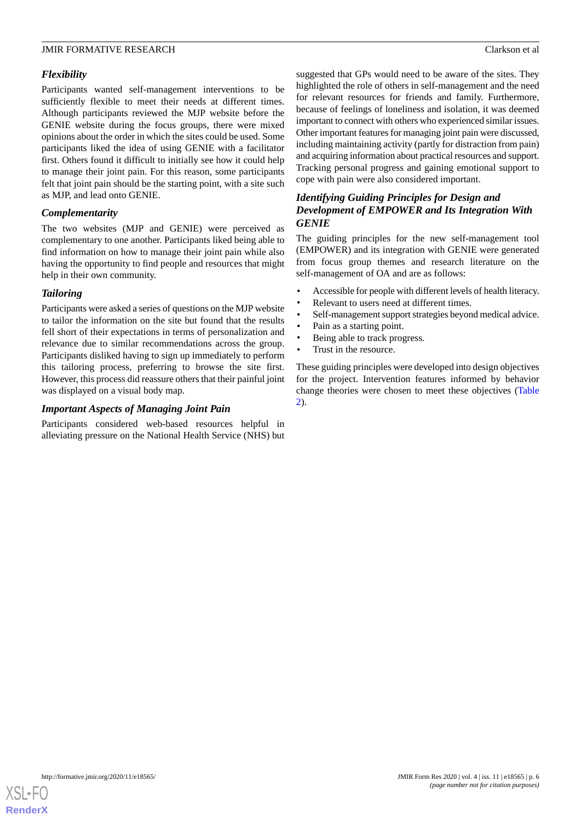## *Flexibility*

Participants wanted self-management interventions to be sufficiently flexible to meet their needs at different times. Although participants reviewed the MJP website before the GENIE website during the focus groups, there were mixed opinions about the order in which the sites could be used. Some participants liked the idea of using GENIE with a facilitator first. Others found it difficult to initially see how it could help to manage their joint pain. For this reason, some participants felt that joint pain should be the starting point, with a site such as MJP, and lead onto GENIE.

## *Complementarity*

The two websites (MJP and GENIE) were perceived as complementary to one another. Participants liked being able to find information on how to manage their joint pain while also having the opportunity to find people and resources that might help in their own community.

#### *Tailoring*

Participants were asked a series of questions on the MJP website to tailor the information on the site but found that the results fell short of their expectations in terms of personalization and relevance due to similar recommendations across the group. Participants disliked having to sign up immediately to perform this tailoring process, preferring to browse the site first. However, this process did reassure others that their painful joint was displayed on a visual body map.

## *Important Aspects of Managing Joint Pain*

Participants considered web-based resources helpful in alleviating pressure on the National Health Service (NHS) but

suggested that GPs would need to be aware of the sites. They highlighted the role of others in self-management and the need for relevant resources for friends and family. Furthermore, because of feelings of loneliness and isolation, it was deemed important to connect with others who experienced similar issues. Other important features for managing joint pain were discussed, including maintaining activity (partly for distraction from pain) and acquiring information about practical resources and support. Tracking personal progress and gaining emotional support to cope with pain were also considered important.

## *Identifying Guiding Principles for Design and Development of EMPOWER and Its Integration With GENIE*

The guiding principles for the new self-management tool (EMPOWER) and its integration with GENIE were generated from focus group themes and research literature on the self-management of OA and are as follows:

- Accessible for people with different levels of health literacy.
- Relevant to users need at different times.
- Self-management support strategies beyond medical advice.
- Pain as a starting point.
- Being able to track progress.
- Trust in the resource.

These guiding principles were developed into design objectives for the project. Intervention features informed by behavior change theories were chosen to meet these objectives ([Table](#page-6-0) [2\)](#page-6-0).

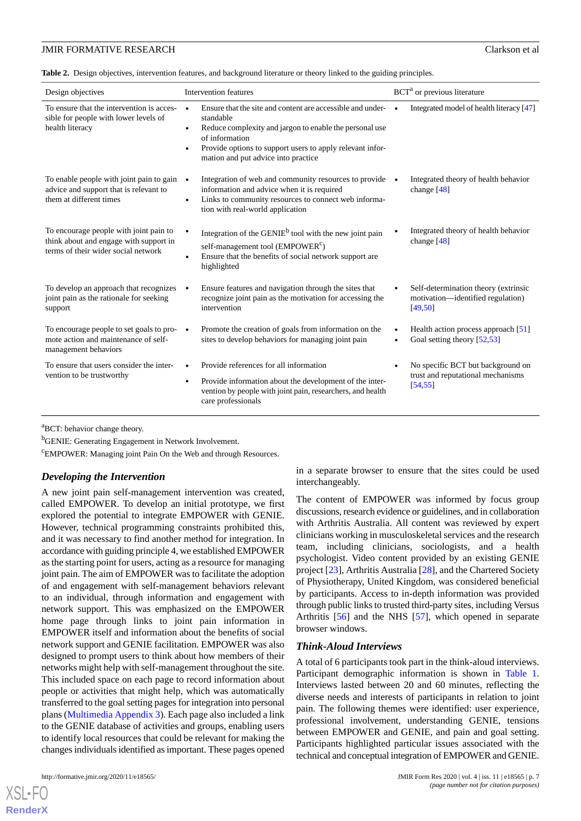<span id="page-6-0"></span>**Table 2.** Design objectives, intervention features, and background literature or theory linked to the guiding principles.

| Design objectives                                                                                                       | Intervention features                                                                                                                                                                                                                                                              | BCT <sup>a</sup> or previous literature                                               |
|-------------------------------------------------------------------------------------------------------------------------|------------------------------------------------------------------------------------------------------------------------------------------------------------------------------------------------------------------------------------------------------------------------------------|---------------------------------------------------------------------------------------|
| To ensure that the intervention is acces-<br>sible for people with lower levels of<br>health literacy                   | Ensure that the site and content are accessible and under-<br>standable<br>Reduce complexity and jargon to enable the personal use<br>$\bullet$<br>of information<br>Provide options to support users to apply relevant infor-<br>$\bullet$<br>mation and put advice into practice | Integrated model of health literacy [47]                                              |
| To enable people with joint pain to gain<br>advice and support that is relevant to<br>them at different times           | Integration of web and community resources to provide<br>$\bullet$<br>information and advice when it is required<br>Links to community resources to connect web informa-<br>$\bullet$<br>tion with real-world application                                                          | Integrated theory of health behavior<br>change $[48]$                                 |
| To encourage people with joint pain to<br>think about and engage with support in<br>terms of their wider social network | Integration of the GENIE <sup>b</sup> tool with the new joint pain<br>self-management tool (EMPOWER <sup>c</sup> )<br>Ensure that the benefits of social network support are<br>$\epsilon$<br>highlighted                                                                          | Integrated theory of health behavior<br>change $[48]$                                 |
| To develop an approach that recognizes<br>joint pain as the rationale for seeking<br>support                            | Ensure features and navigation through the sites that<br>recognize joint pain as the motivation for accessing the<br>intervention                                                                                                                                                  | Self-determination theory (extrinsic<br>motivation—identified regulation)<br>[49, 50] |
| To encourage people to set goals to pro- $\bullet$<br>mote action and maintenance of self-<br>management behaviors      | Promote the creation of goals from information on the<br>sites to develop behaviors for managing joint pain                                                                                                                                                                        | Health action process approach [51]<br>Goal setting theory [52,53]                    |
| To ensure that users consider the inter-<br>vention to be trustworthy                                                   | Provide references for all information<br>Provide information about the development of the inter-<br>$\bullet$<br>vention by people with joint pain, researchers, and health<br>care professionals                                                                                 | No specific BCT but background on<br>trust and reputational mechanisms<br>[54, 55]    |

<sup>a</sup>BCT: behavior change theory.

**b**GENIE: Generating Engagement in Network Involvement.

<sup>c</sup>EMPOWER: Managing joint Pain On the Web and through Resources.

#### *Developing the Intervention*

A new joint pain self-management intervention was created, called EMPOWER. To develop an initial prototype, we first explored the potential to integrate EMPOWER with GENIE. However, technical programming constraints prohibited this, and it was necessary to find another method for integration. In accordance with guiding principle 4, we established EMPOWER as the starting point for users, acting as a resource for managing joint pain. The aim of EMPOWER was to facilitate the adoption of and engagement with self-management behaviors relevant to an individual, through information and engagement with network support. This was emphasized on the EMPOWER home page through links to joint pain information in EMPOWER itself and information about the benefits of social network support and GENIE facilitation. EMPOWER was also designed to prompt users to think about how members of their networks might help with self-management throughout the site. This included space on each page to record information about people or activities that might help, which was automatically transferred to the goal setting pages for integration into personal plans ([Multimedia Appendix 3](#page-11-12)). Each page also included a link to the GENIE database of activities and groups, enabling users to identify local resources that could be relevant for making the changes individuals identified as important. These pages opened

[XSL](http://www.w3.org/Style/XSL)•FO **[RenderX](http://www.renderx.com/)**

in a separate browser to ensure that the sites could be used interchangeably.

The content of EMPOWER was informed by focus group discussions, research evidence or guidelines, and in collaboration with Arthritis Australia. All content was reviewed by expert clinicians working in musculoskeletal services and the research team, including clinicians, sociologists, and a health psychologist. Video content provided by an existing GENIE project [[23\]](#page-12-12), Arthritis Australia [[28\]](#page-12-17), and the Chartered Society of Physiotherapy, United Kingdom, was considered beneficial by participants. Access to in-depth information was provided through public links to trusted third-party sites, including Versus Arthritis [\[56](#page-13-22)] and the NHS [[57\]](#page-13-23), which opened in separate browser windows.

#### *Think-Aloud Interviews*

A total of 6 participants took part in the think-aloud interviews. Participant demographic information is shown in [Table 1](#page-4-0). Interviews lasted between 20 and 60 minutes, reflecting the diverse needs and interests of participants in relation to joint pain. The following themes were identified: user experience, professional involvement, understanding GENIE, tensions between EMPOWER and GENIE, and pain and goal setting. Participants highlighted particular issues associated with the technical and conceptual integration of EMPOWER and GENIE.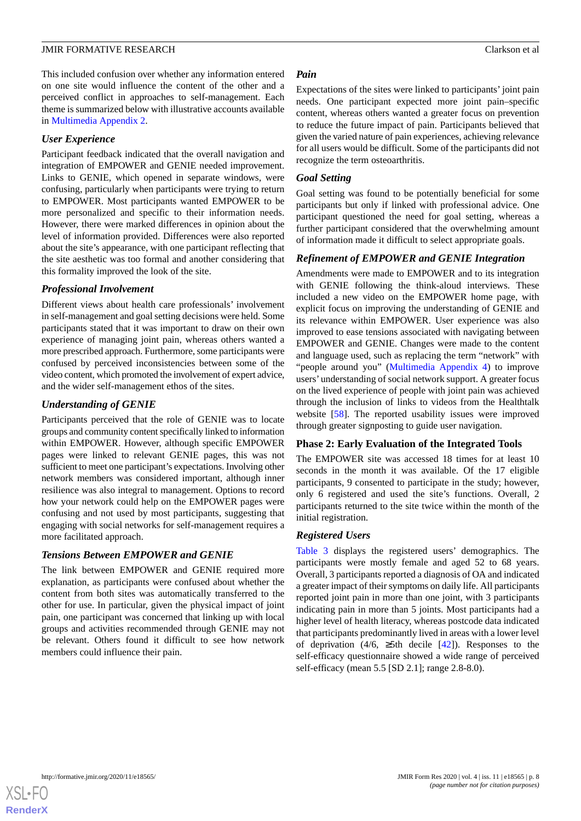This included confusion over whether any information entered on one site would influence the content of the other and a perceived conflict in approaches to self-management. Each theme is summarized below with illustrative accounts available in [Multimedia Appendix 2.](#page-11-11)

#### *User Experience*

Participant feedback indicated that the overall navigation and integration of EMPOWER and GENIE needed improvement. Links to GENIE, which opened in separate windows, were confusing, particularly when participants were trying to return to EMPOWER. Most participants wanted EMPOWER to be more personalized and specific to their information needs. However, there were marked differences in opinion about the level of information provided. Differences were also reported about the site's appearance, with one participant reflecting that the site aesthetic was too formal and another considering that this formality improved the look of the site.

#### *Professional Involvement*

Different views about health care professionals' involvement in self-management and goal setting decisions were held. Some participants stated that it was important to draw on their own experience of managing joint pain, whereas others wanted a more prescribed approach. Furthermore, some participants were confused by perceived inconsistencies between some of the video content, which promoted the involvement of expert advice, and the wider self-management ethos of the sites.

#### *Understanding of GENIE*

Participants perceived that the role of GENIE was to locate groups and community content specifically linked to information within EMPOWER. However, although specific EMPOWER pages were linked to relevant GENIE pages, this was not sufficient to meet one participant's expectations. Involving other network members was considered important, although inner resilience was also integral to management. Options to record how your network could help on the EMPOWER pages were confusing and not used by most participants, suggesting that engaging with social networks for self-management requires a more facilitated approach.

#### *Tensions Between EMPOWER and GENIE*

The link between EMPOWER and GENIE required more explanation, as participants were confused about whether the content from both sites was automatically transferred to the other for use. In particular, given the physical impact of joint pain, one participant was concerned that linking up with local groups and activities recommended through GENIE may not be relevant. Others found it difficult to see how network members could influence their pain.

#### *Pain*

Expectations of the sites were linked to participants' joint pain needs. One participant expected more joint pain–specific content, whereas others wanted a greater focus on prevention to reduce the future impact of pain. Participants believed that given the varied nature of pain experiences, achieving relevance for all users would be difficult. Some of the participants did not recognize the term osteoarthritis.

#### *Goal Setting*

Goal setting was found to be potentially beneficial for some participants but only if linked with professional advice. One participant questioned the need for goal setting, whereas a further participant considered that the overwhelming amount of information made it difficult to select appropriate goals.

#### *Refinement of EMPOWER and GENIE Integration*

Amendments were made to EMPOWER and to its integration with GENIE following the think-aloud interviews. These included a new video on the EMPOWER home page, with explicit focus on improving the understanding of GENIE and its relevance within EMPOWER. User experience was also improved to ease tensions associated with navigating between EMPOWER and GENIE. Changes were made to the content and language used, such as replacing the term "network" with "people around you" [\(Multimedia Appendix 4](#page-11-13)) to improve users'understanding of social network support. A greater focus on the lived experience of people with joint pain was achieved through the inclusion of links to videos from the Healthtalk website [\[58](#page-13-24)]. The reported usability issues were improved through greater signposting to guide user navigation.

#### **Phase 2: Early Evaluation of the Integrated Tools**

The EMPOWER site was accessed 18 times for at least 10 seconds in the month it was available. Of the 17 eligible participants, 9 consented to participate in the study; however, only 6 registered and used the site's functions. Overall, 2 participants returned to the site twice within the month of the initial registration.

#### *Registered Users*

[Table 3](#page-8-0) displays the registered users' demographics. The participants were mostly female and aged 52 to 68 years. Overall, 3 participants reported a diagnosis of OA and indicated a greater impact of their symptoms on daily life. All participants reported joint pain in more than one joint, with 3 participants indicating pain in more than 5 joints. Most participants had a higher level of health literacy, whereas postcode data indicated that participants predominantly lived in areas with a lower level of deprivation (4/6,  $\geq$ 5th decile [\[42](#page-13-8)]). Responses to the self-efficacy questionnaire showed a wide range of perceived self-efficacy (mean 5.5 [SD 2.1]; range 2.8-8.0).

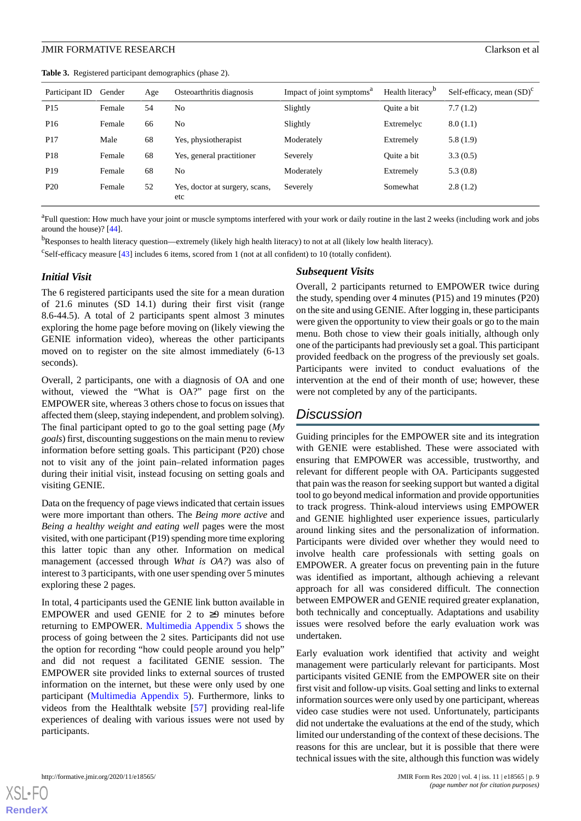<span id="page-8-0"></span>**Table 3.** Registered participant demographics (phase 2).

| Participant ID  | Gender | Age | Osteoarthritis diagnosis              | Impact of joint symptoms <sup>a</sup> | Health literacy <sup>b</sup> | Self-efficacy, mean $(SD)^c$ |
|-----------------|--------|-----|---------------------------------------|---------------------------------------|------------------------------|------------------------------|
| P <sub>15</sub> | Female | 54  | No                                    | Slightly                              | Quite a bit                  | 7.7(1.2)                     |
| P <sub>16</sub> | Female | 66  | No                                    | Slightly                              | Extremelyc                   | 8.0(1.1)                     |
| P <sub>17</sub> | Male   | 68  | Yes, physiotherapist                  | Moderately                            | Extremely                    | 5.8(1.9)                     |
| P <sub>18</sub> | Female | 68  | Yes, general practitioner             | Severely                              | Quite a bit                  | 3.3(0.5)                     |
| P <sub>19</sub> | Female | 68  | No                                    | Moderately                            | Extremely                    | 5.3(0.8)                     |
| P <sub>20</sub> | Female | 52  | Yes, doctor at surgery, scans,<br>etc | Severely                              | Somewhat                     | 2.8(1.2)                     |

<sup>a</sup>Full question: How much have your joint or muscle symptoms interfered with your work or daily routine in the last 2 weeks (including work and jobs around the house)? [\[44\]](#page-13-10).

<sup>b</sup>Responses to health literacy question—extremely (likely high health literacy) to not at all (likely low health literacy).

<sup>c</sup>Self-efficacy measure [\[43\]](#page-13-9) includes 6 items, scored from 1 (not at all confident) to 10 (totally confident).

#### *Initial Visit*

The 6 registered participants used the site for a mean duration of 21.6 minutes (SD 14.1) during their first visit (range 8.6-44.5). A total of 2 participants spent almost 3 minutes exploring the home page before moving on (likely viewing the GENIE information video), whereas the other participants moved on to register on the site almost immediately (6-13 seconds).

Overall, 2 participants, one with a diagnosis of OA and one without, viewed the "What is OA?" page first on the EMPOWER site, whereas 3 others chose to focus on issues that affected them (sleep, staying independent, and problem solving). The final participant opted to go to the goal setting page (*My goals*) first, discounting suggestions on the main menu to review information before setting goals. This participant (P20) chose not to visit any of the joint pain–related information pages during their initial visit, instead focusing on setting goals and visiting GENIE.

Data on the frequency of page views indicated that certain issues were more important than others. The *Being more active* and *Being a healthy weight and eating well* pages were the most visited, with one participant (P19) spending more time exploring this latter topic than any other. Information on medical management (accessed through *What is OA?*) was also of interest to 3 participants, with one user spending over 5 minutes exploring these 2 pages.

In total, 4 participants used the GENIE link button available in EMPOWER and used GENIE for 2 to  $\geq$ 9 minutes before returning to EMPOWER. [Multimedia Appendix 5](#page-11-14) shows the process of going between the 2 sites. Participants did not use the option for recording "how could people around you help" and did not request a facilitated GENIE session. The EMPOWER site provided links to external sources of trusted information on the internet, but these were only used by one participant [\(Multimedia Appendix 5\)](#page-11-14). Furthermore, links to videos from the Healthtalk website [[57\]](#page-13-23) providing real-life experiences of dealing with various issues were not used by participants.

#### *Subsequent Visits*

Overall, 2 participants returned to EMPOWER twice during the study, spending over 4 minutes (P15) and 19 minutes (P20) on the site and using GENIE. After logging in, these participants were given the opportunity to view their goals or go to the main menu. Both chose to view their goals initially, although only one of the participants had previously set a goal. This participant provided feedback on the progress of the previously set goals. Participants were invited to conduct evaluations of the intervention at the end of their month of use; however, these were not completed by any of the participants.

## *Discussion*

Guiding principles for the EMPOWER site and its integration with GENIE were established. These were associated with ensuring that EMPOWER was accessible, trustworthy, and relevant for different people with OA. Participants suggested that pain was the reason for seeking support but wanted a digital tool to go beyond medical information and provide opportunities to track progress. Think-aloud interviews using EMPOWER and GENIE highlighted user experience issues, particularly around linking sites and the personalization of information. Participants were divided over whether they would need to involve health care professionals with setting goals on EMPOWER. A greater focus on preventing pain in the future was identified as important, although achieving a relevant approach for all was considered difficult. The connection between EMPOWER and GENIE required greater explanation, both technically and conceptually. Adaptations and usability issues were resolved before the early evaluation work was undertaken.

Early evaluation work identified that activity and weight management were particularly relevant for participants. Most participants visited GENIE from the EMPOWER site on their first visit and follow-up visits. Goal setting and links to external information sources were only used by one participant, whereas video case studies were not used. Unfortunately, participants did not undertake the evaluations at the end of the study, which limited our understanding of the context of these decisions. The reasons for this are unclear, but it is possible that there were technical issues with the site, although this function was widely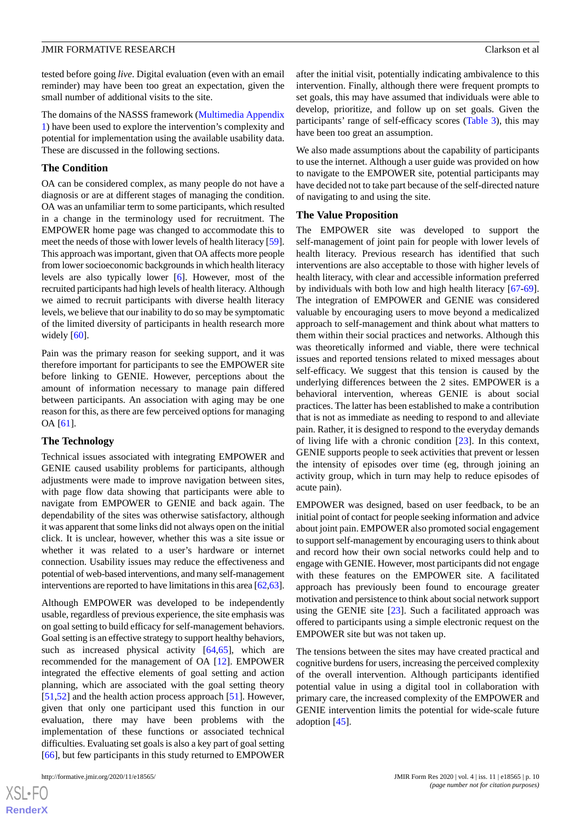tested before going *live*. Digital evaluation (even with an email reminder) may have been too great an expectation, given the small number of additional visits to the site.

The domains of the NASSS framework [\(Multimedia Appendix](#page-11-10) [1\)](#page-11-10) have been used to explore the intervention's complexity and potential for implementation using the available usability data. These are discussed in the following sections.

#### **The Condition**

OA can be considered complex, as many people do not have a diagnosis or are at different stages of managing the condition. OA was an unfamiliar term to some participants, which resulted in a change in the terminology used for recruitment. The EMPOWER home page was changed to accommodate this to meet the needs of those with lower levels of health literacy [[59\]](#page-13-25). This approach was important, given that OA affects more people from lower socioeconomic backgrounds in which health literacy levels are also typically lower [\[6](#page-11-5)]. However, most of the recruited participants had high levels of health literacy. Although we aimed to recruit participants with diverse health literacy levels, we believe that our inability to do so may be symptomatic of the limited diversity of participants in health research more widely  $[60]$  $[60]$ .

Pain was the primary reason for seeking support, and it was therefore important for participants to see the EMPOWER site before linking to GENIE. However, perceptions about the amount of information necessary to manage pain differed between participants. An association with aging may be one reason for this, as there are few perceived options for managing OA [\[61](#page-14-0)].

### **The Technology**

Technical issues associated with integrating EMPOWER and GENIE caused usability problems for participants, although adjustments were made to improve navigation between sites, with page flow data showing that participants were able to navigate from EMPOWER to GENIE and back again. The dependability of the sites was otherwise satisfactory, although it was apparent that some links did not always open on the initial click. It is unclear, however, whether this was a site issue or whether it was related to a user's hardware or internet connection. Usability issues may reduce the effectiveness and potential of web-based interventions, and many self-management interventions are reported to have limitations in this area [[62,](#page-14-1)[63\]](#page-14-2).

Although EMPOWER was developed to be independently usable, regardless of previous experience, the site emphasis was on goal setting to build efficacy for self-management behaviors. Goal setting is an effective strategy to support healthy behaviors, such as increased physical activity  $[64,65]$  $[64,65]$  $[64,65]$ , which are recommended for the management of OA [\[12](#page-12-1)]. EMPOWER integrated the effective elements of goal setting and action planning, which are associated with the goal setting theory [[51](#page-13-17)[,52](#page-13-18)] and the health action process approach [\[51](#page-13-17)]. However, given that only one participant used this function in our evaluation, there may have been problems with the implementation of these functions or associated technical difficulties. Evaluating set goals is also a key part of goal setting [[66\]](#page-14-5), but few participants in this study returned to EMPOWER

after the initial visit, potentially indicating ambivalence to this intervention. Finally, although there were frequent prompts to set goals, this may have assumed that individuals were able to develop, prioritize, and follow up on set goals. Given the participants' range of self-efficacy scores [\(Table 3](#page-8-0)), this may have been too great an assumption.

We also made assumptions about the capability of participants to use the internet. Although a user guide was provided on how to navigate to the EMPOWER site, potential participants may have decided not to take part because of the self-directed nature of navigating to and using the site.

#### **The Value Proposition**

The EMPOWER site was developed to support the self-management of joint pain for people with lower levels of health literacy. Previous research has identified that such interventions are also acceptable to those with higher levels of health literacy, with clear and accessible information preferred by individuals with both low and high health literacy [[67-](#page-14-6)[69\]](#page-14-7). The integration of EMPOWER and GENIE was considered valuable by encouraging users to move beyond a medicalized approach to self-management and think about what matters to them within their social practices and networks. Although this was theoretically informed and viable, there were technical issues and reported tensions related to mixed messages about self-efficacy. We suggest that this tension is caused by the underlying differences between the 2 sites. EMPOWER is a behavioral intervention, whereas GENIE is about social practices. The latter has been established to make a contribution that is not as immediate as needing to respond to and alleviate pain. Rather, it is designed to respond to the everyday demands of living life with a chronic condition [\[23](#page-12-12)]. In this context, GENIE supports people to seek activities that prevent or lessen the intensity of episodes over time (eg, through joining an activity group, which in turn may help to reduce episodes of acute pain).

EMPOWER was designed, based on user feedback, to be an initial point of contact for people seeking information and advice about joint pain. EMPOWER also promoted social engagement to support self-management by encouraging users to think about and record how their own social networks could help and to engage with GENIE. However, most participants did not engage with these features on the EMPOWER site. A facilitated approach has previously been found to encourage greater motivation and persistence to think about social network support using the GENIE site [[23\]](#page-12-12). Such a facilitated approach was offered to participants using a simple electronic request on the EMPOWER site but was not taken up.

The tensions between the sites may have created practical and cognitive burdens for users, increasing the perceived complexity of the overall intervention. Although participants identified potential value in using a digital tool in collaboration with primary care, the increased complexity of the EMPOWER and GENIE intervention limits the potential for wide-scale future adoption [\[45](#page-13-11)].

 $XS$ -FO **[RenderX](http://www.renderx.com/)**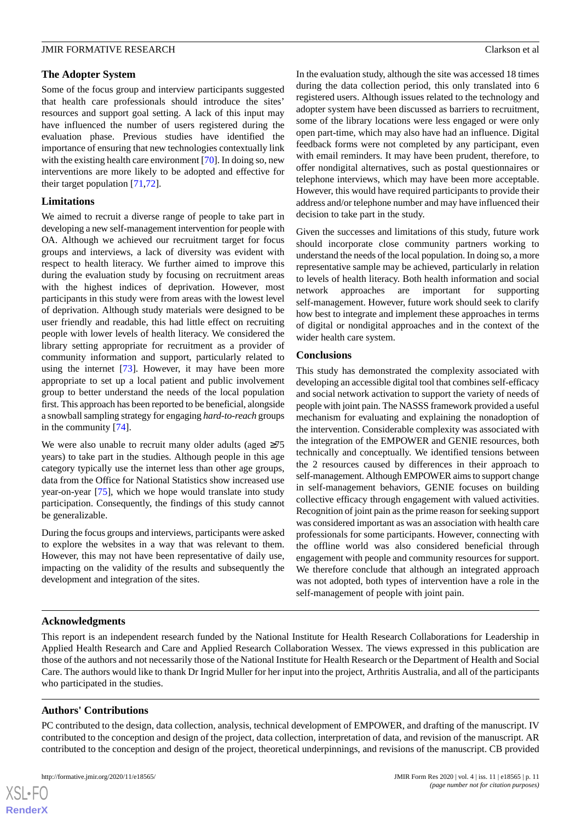## **The Adopter System**

Some of the focus group and interview participants suggested that health care professionals should introduce the sites' resources and support goal setting. A lack of this input may have influenced the number of users registered during the evaluation phase. Previous studies have identified the importance of ensuring that new technologies contextually link with the existing health care environment [\[70](#page-14-8)]. In doing so, new interventions are more likely to be adopted and effective for their target population [\[71](#page-14-9),[72\]](#page-14-10).

## **Limitations**

We aimed to recruit a diverse range of people to take part in developing a new self-management intervention for people with OA. Although we achieved our recruitment target for focus groups and interviews, a lack of diversity was evident with respect to health literacy. We further aimed to improve this during the evaluation study by focusing on recruitment areas with the highest indices of deprivation. However, most participants in this study were from areas with the lowest level of deprivation. Although study materials were designed to be user friendly and readable, this had little effect on recruiting people with lower levels of health literacy. We considered the library setting appropriate for recruitment as a provider of community information and support, particularly related to using the internet [[73\]](#page-14-11). However, it may have been more appropriate to set up a local patient and public involvement group to better understand the needs of the local population first. This approach has been reported to be beneficial, alongside a snowball sampling strategy for engaging *hard-to-reach* groups in the community [[74\]](#page-14-12).

We were also unable to recruit many older adults (aged  $\geq 75$ ) years) to take part in the studies. Although people in this age category typically use the internet less than other age groups, data from the Office for National Statistics show increased use year-on-year [\[75](#page-14-13)], which we hope would translate into study participation. Consequently, the findings of this study cannot be generalizable.

During the focus groups and interviews, participants were asked to explore the websites in a way that was relevant to them. However, this may not have been representative of daily use, impacting on the validity of the results and subsequently the development and integration of the sites.

In the evaluation study, although the site was accessed 18 times during the data collection period, this only translated into 6 registered users. Although issues related to the technology and adopter system have been discussed as barriers to recruitment, some of the library locations were less engaged or were only open part-time, which may also have had an influence. Digital feedback forms were not completed by any participant, even with email reminders. It may have been prudent, therefore, to offer nondigital alternatives, such as postal questionnaires or telephone interviews, which may have been more acceptable. However, this would have required participants to provide their address and/or telephone number and may have influenced their decision to take part in the study.

Given the successes and limitations of this study, future work should incorporate close community partners working to understand the needs of the local population. In doing so, a more representative sample may be achieved, particularly in relation to levels of health literacy. Both health information and social network approaches are important for supporting self-management. However, future work should seek to clarify how best to integrate and implement these approaches in terms of digital or nondigital approaches and in the context of the wider health care system.

## **Conclusions**

This study has demonstrated the complexity associated with developing an accessible digital tool that combines self-efficacy and social network activation to support the variety of needs of people with joint pain. The NASSS framework provided a useful mechanism for evaluating and explaining the nonadoption of the intervention. Considerable complexity was associated with the integration of the EMPOWER and GENIE resources, both technically and conceptually. We identified tensions between the 2 resources caused by differences in their approach to self-management. Although EMPOWER aims to support change in self-management behaviors, GENIE focuses on building collective efficacy through engagement with valued activities. Recognition of joint pain as the prime reason for seeking support was considered important as was an association with health care professionals for some participants. However, connecting with the offline world was also considered beneficial through engagement with people and community resources for support. We therefore conclude that although an integrated approach was not adopted, both types of intervention have a role in the self-management of people with joint pain.

## **Acknowledgments**

This report is an independent research funded by the National Institute for Health Research Collaborations for Leadership in Applied Health Research and Care and Applied Research Collaboration Wessex. The views expressed in this publication are those of the authors and not necessarily those of the National Institute for Health Research or the Department of Health and Social Care. The authors would like to thank Dr Ingrid Muller for her input into the project, Arthritis Australia, and all of the participants who participated in the studies.

## **Authors' Contributions**

PC contributed to the design, data collection, analysis, technical development of EMPOWER, and drafting of the manuscript. IV contributed to the conception and design of the project, data collection, interpretation of data, and revision of the manuscript. AR contributed to the conception and design of the project, theoretical underpinnings, and revisions of the manuscript. CB provided

 $XS$  $\cdot$ FC **[RenderX](http://www.renderx.com/)**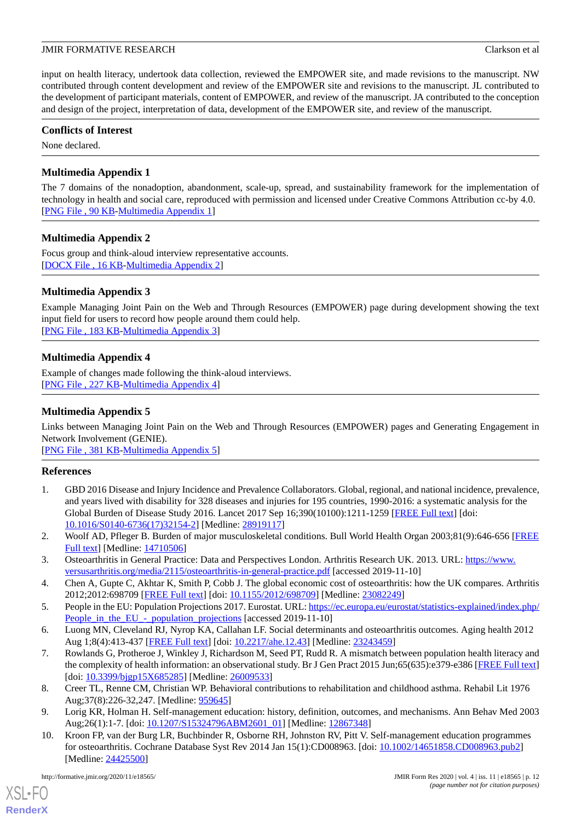input on health literacy, undertook data collection, reviewed the EMPOWER site, and made revisions to the manuscript. NW contributed through content development and review of the EMPOWER site and revisions to the manuscript. JL contributed to the development of participant materials, content of EMPOWER, and review of the manuscript. JA contributed to the conception and design of the project, interpretation of data, development of the EMPOWER site, and review of the manuscript.

## **Conflicts of Interest**

<span id="page-11-10"></span>None declared.

## **Multimedia Appendix 1**

The 7 domains of the nonadoption, abandonment, scale-up, spread, and sustainability framework for the implementation of technology in health and social care, reproduced with permission and licensed under Creative Commons Attribution cc-by 4.0. [[PNG File , 90 KB-Multimedia Appendix 1](https://jmir.org/api/download?alt_name=formative_v4i11e18565_app1.png&filename=8b8afcb45ac2da5a7b15bee55fd589c9.png)]

## <span id="page-11-11"></span>**Multimedia Appendix 2**

<span id="page-11-12"></span>Focus group and think-aloud interview representative accounts. [[DOCX File , 16 KB](https://jmir.org/api/download?alt_name=formative_v4i11e18565_app2.docx&filename=5b1799c569cc57240d394c11105739ea.docx)-[Multimedia Appendix 2\]](https://jmir.org/api/download?alt_name=formative_v4i11e18565_app2.docx&filename=5b1799c569cc57240d394c11105739ea.docx)

## **Multimedia Appendix 3**

<span id="page-11-13"></span>Example Managing Joint Pain on the Web and Through Resources (EMPOWER) page during development showing the text input field for users to record how people around them could help. [[PNG File , 183 KB-Multimedia Appendix 3](https://jmir.org/api/download?alt_name=formative_v4i11e18565_app3.png&filename=ef88f0a85416745fd4bf9a8cd0258572.png)]

## **Multimedia Appendix 4**

<span id="page-11-14"></span>Example of changes made following the think-aloud interviews. [[PNG File , 227 KB-Multimedia Appendix 4](https://jmir.org/api/download?alt_name=formative_v4i11e18565_app4.png&filename=ebeeb5925e88bd6fa69d5a096be4380a.png)]

## **Multimedia Appendix 5**

Links between Managing Joint Pain on the Web and Through Resources (EMPOWER) pages and Generating Engagement in Network Involvement (GENIE).

<span id="page-11-0"></span>[[PNG File , 381 KB-Multimedia Appendix 5](https://jmir.org/api/download?alt_name=formative_v4i11e18565_app5.png&filename=11622f16300f95054aab3c34a5cb1481.png)]

## **References**

- <span id="page-11-2"></span><span id="page-11-1"></span>1. GBD 2016 Disease and Injury Incidence and Prevalence Collaborators. Global, regional, and national incidence, prevalence, and years lived with disability for 328 diseases and injuries for 195 countries, 1990-2016: a systematic analysis for the Global Burden of Disease Study 2016. Lancet 2017 Sep 16;390(10100):1211-1259 [\[FREE Full text\]](https://linkinghub.elsevier.com/retrieve/pii/S0140-6736(17)32154-2) [doi: [10.1016/S0140-6736\(17\)32154-2\]](http://dx.doi.org/10.1016/S0140-6736(17)32154-2) [Medline: [28919117](http://www.ncbi.nlm.nih.gov/entrez/query.fcgi?cmd=Retrieve&db=PubMed&list_uids=28919117&dopt=Abstract)]
- <span id="page-11-4"></span><span id="page-11-3"></span>2. Woolf AD, Pfleger B. Burden of major musculoskeletal conditions. Bull World Health Organ 2003;81(9):646-656 [[FREE](http://europepmc.org/abstract/MED/14710506) [Full text\]](http://europepmc.org/abstract/MED/14710506) [Medline: [14710506\]](http://www.ncbi.nlm.nih.gov/entrez/query.fcgi?cmd=Retrieve&db=PubMed&list_uids=14710506&dopt=Abstract)
- <span id="page-11-5"></span>3. Osteoarthritis in General Practice: Data and Perspectives London. Arthritis Research UK. 2013. URL: [https://www.](https://www.versusarthritis.org/media/2115/osteoarthritis-in-general-practice.pdf) [versusarthritis.org/media/2115/osteoarthritis-in-general-practice.pdf](https://www.versusarthritis.org/media/2115/osteoarthritis-in-general-practice.pdf) [accessed 2019-11-10]
- <span id="page-11-6"></span>4. Chen A, Gupte C, Akhtar K, Smith P, Cobb J. The global economic cost of osteoarthritis: how the UK compares. Arthritis 2012;2012:698709 [[FREE Full text](https://doi.org/10.1155/2012/698709)] [doi: [10.1155/2012/698709\]](http://dx.doi.org/10.1155/2012/698709) [Medline: [23082249](http://www.ncbi.nlm.nih.gov/entrez/query.fcgi?cmd=Retrieve&db=PubMed&list_uids=23082249&dopt=Abstract)]
- 5. People in the EU: Population Projections 2017. Eurostat. URL: [https://ec.europa.eu/eurostat/statistics-explained/index.php/](https://ec.europa.eu/eurostat/statistics-explained/index.php/People_in_the_EU_-_population_projections) People in the EU - population projections [accessed 2019-11-10]
- <span id="page-11-7"></span>6. Luong MN, Cleveland RJ, Nyrop KA, Callahan LF. Social determinants and osteoarthritis outcomes. Aging health 2012 Aug 1;8(4):413-437 [[FREE Full text](http://europepmc.org/abstract/MED/23243459)] [doi: [10.2217/ahe.12.43](http://dx.doi.org/10.2217/ahe.12.43)] [Medline: [23243459](http://www.ncbi.nlm.nih.gov/entrez/query.fcgi?cmd=Retrieve&db=PubMed&list_uids=23243459&dopt=Abstract)]
- <span id="page-11-9"></span><span id="page-11-8"></span>7. Rowlands G, Protheroe J, Winkley J, Richardson M, Seed PT, Rudd R. A mismatch between population health literacy and the complexity of health information: an observational study. Br J Gen Pract 2015 Jun;65(635):e379-e386 [[FREE Full text](https://bjgp.org/cgi/pmidlookup?view=long&pmid=26009533)] [doi: [10.3399/bjgp15X685285](http://dx.doi.org/10.3399/bjgp15X685285)] [Medline: [26009533\]](http://www.ncbi.nlm.nih.gov/entrez/query.fcgi?cmd=Retrieve&db=PubMed&list_uids=26009533&dopt=Abstract)
- 8. Creer TL, Renne CM, Christian WP. Behavioral contributions to rehabilitation and childhood asthma. Rehabil Lit 1976 Aug;37(8):226-32,247. [Medline: [959645\]](http://www.ncbi.nlm.nih.gov/entrez/query.fcgi?cmd=Retrieve&db=PubMed&list_uids=959645&dopt=Abstract)
- 9. Lorig KR, Holman H. Self-management education: history, definition, outcomes, and mechanisms. Ann Behav Med 2003 Aug;26(1):1-7. [doi: [10.1207/S15324796ABM2601\\_01](http://dx.doi.org/10.1207/S15324796ABM2601_01)] [Medline: [12867348](http://www.ncbi.nlm.nih.gov/entrez/query.fcgi?cmd=Retrieve&db=PubMed&list_uids=12867348&dopt=Abstract)]
- 10. Kroon FP, van der Burg LR, Buchbinder R, Osborne RH, Johnston RV, Pitt V. Self-management education programmes for osteoarthritis. Cochrane Database Syst Rev 2014 Jan 15(1):CD008963. [doi: [10.1002/14651858.CD008963.pub2](http://dx.doi.org/10.1002/14651858.CD008963.pub2)] [Medline: [24425500](http://www.ncbi.nlm.nih.gov/entrez/query.fcgi?cmd=Retrieve&db=PubMed&list_uids=24425500&dopt=Abstract)]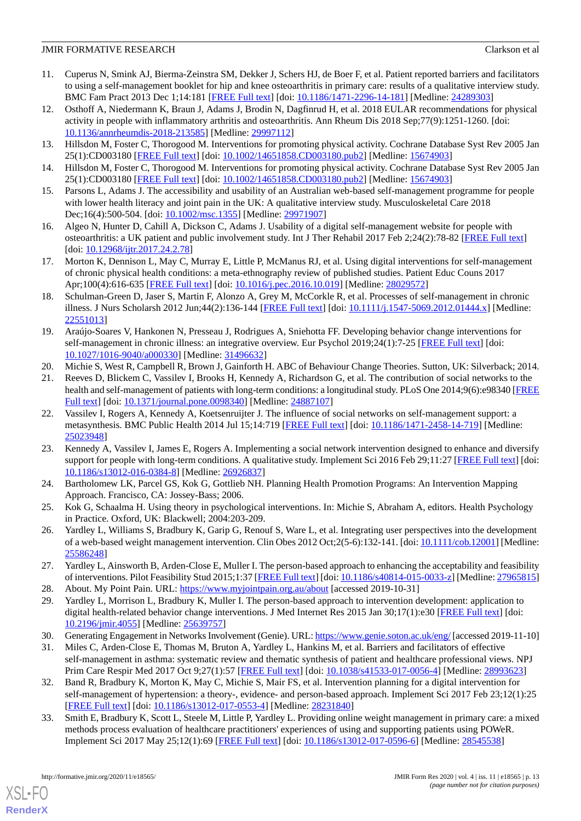- <span id="page-12-0"></span>11. Cuperus N, Smink AJ, Bierma-Zeinstra SM, Dekker J, Schers HJ, de Boer F, et al. Patient reported barriers and facilitators to using a self-management booklet for hip and knee osteoarthritis in primary care: results of a qualitative interview study. BMC Fam Pract 2013 Dec 1;14:181 [[FREE Full text](https://bmcfampract.biomedcentral.com/articles/10.1186/1471-2296-14-181)] [doi: [10.1186/1471-2296-14-181\]](http://dx.doi.org/10.1186/1471-2296-14-181) [Medline: [24289303\]](http://www.ncbi.nlm.nih.gov/entrez/query.fcgi?cmd=Retrieve&db=PubMed&list_uids=24289303&dopt=Abstract)
- <span id="page-12-1"></span>12. Osthoff A, Niedermann K, Braun J, Adams J, Brodin N, Dagfinrud H, et al. 2018 EULAR recommendations for physical activity in people with inflammatory arthritis and osteoarthritis. Ann Rheum Dis 2018 Sep;77(9):1251-1260. [doi: [10.1136/annrheumdis-2018-213585](http://dx.doi.org/10.1136/annrheumdis-2018-213585)] [Medline: [29997112\]](http://www.ncbi.nlm.nih.gov/entrez/query.fcgi?cmd=Retrieve&db=PubMed&list_uids=29997112&dopt=Abstract)
- <span id="page-12-3"></span><span id="page-12-2"></span>13. Hillsdon M, Foster C, Thorogood M. Interventions for promoting physical activity. Cochrane Database Syst Rev 2005 Jan 25(1):CD003180 [[FREE Full text](http://europepmc.org/abstract/MED/15674903)] [doi: [10.1002/14651858.CD003180.pub2](http://dx.doi.org/10.1002/14651858.CD003180.pub2)] [Medline: [15674903](http://www.ncbi.nlm.nih.gov/entrez/query.fcgi?cmd=Retrieve&db=PubMed&list_uids=15674903&dopt=Abstract)]
- <span id="page-12-4"></span>14. Hillsdon M, Foster C, Thorogood M. Interventions for promoting physical activity. Cochrane Database Syst Rev 2005 Jan 25(1):CD003180 [[FREE Full text](http://europepmc.org/abstract/MED/15674903)] [doi: [10.1002/14651858.CD003180.pub2](http://dx.doi.org/10.1002/14651858.CD003180.pub2)] [Medline: [15674903](http://www.ncbi.nlm.nih.gov/entrez/query.fcgi?cmd=Retrieve&db=PubMed&list_uids=15674903&dopt=Abstract)]
- <span id="page-12-5"></span>15. Parsons L, Adams J. The accessibility and usability of an Australian web-based self-management programme for people with lower health literacy and joint pain in the UK: A qualitative interview study. Musculoskeletal Care 2018 Dec;16(4):500-504. [doi: [10.1002/msc.1355](http://dx.doi.org/10.1002/msc.1355)] [Medline: [29971907](http://www.ncbi.nlm.nih.gov/entrez/query.fcgi?cmd=Retrieve&db=PubMed&list_uids=29971907&dopt=Abstract)]
- <span id="page-12-6"></span>16. Algeo N, Hunter D, Cahill A, Dickson C, Adams J. Usability of a digital self-management website for people with osteoarthritis: a UK patient and public involvement study. Int J Ther Rehabil 2017 Feb 2;24(2):78-82 [\[FREE Full text\]](https://doi.org/10.12968/ijtr.2017.24.2.78) [doi: [10.12968/ijtr.2017.24.2.78](http://dx.doi.org/10.12968/ijtr.2017.24.2.78)]
- <span id="page-12-7"></span>17. Morton K, Dennison L, May C, Murray E, Little P, McManus RJ, et al. Using digital interventions for self-management of chronic physical health conditions: a meta-ethnography review of published studies. Patient Educ Couns 2017 Apr;100(4):616-635 [\[FREE Full text\]](https://linkinghub.elsevier.com/retrieve/pii/S0738-3991(16)30489-X) [doi: [10.1016/j.pec.2016.10.019](http://dx.doi.org/10.1016/j.pec.2016.10.019)] [Medline: [28029572\]](http://www.ncbi.nlm.nih.gov/entrez/query.fcgi?cmd=Retrieve&db=PubMed&list_uids=28029572&dopt=Abstract)
- <span id="page-12-8"></span>18. Schulman-Green D, Jaser S, Martin F, Alonzo A, Grey M, McCorkle R, et al. Processes of self-management in chronic illness. J Nurs Scholarsh 2012 Jun;44(2):136-144 [\[FREE Full text](http://europepmc.org/abstract/MED/22551013)] [doi: [10.1111/j.1547-5069.2012.01444.x](http://dx.doi.org/10.1111/j.1547-5069.2012.01444.x)] [Medline: [22551013](http://www.ncbi.nlm.nih.gov/entrez/query.fcgi?cmd=Retrieve&db=PubMed&list_uids=22551013&dopt=Abstract)]
- <span id="page-12-10"></span><span id="page-12-9"></span>19. Araújo-Soares V, Hankonen N, Presseau J, Rodrigues A, Sniehotta FF. Developing behavior change interventions for self-management in chronic illness: an integrative overview. Eur Psychol 2019;24(1):7-25 [[FREE Full text](https://hogrefe-prod.literatumonline.com/doi/10.1027/1016-9040/a000330?url_ver=Z39.88-2003&rfr_id=ori:rid:crossref.org&rfr_dat=cr_pub%3dpubmed)] [doi: [10.1027/1016-9040/a000330](http://dx.doi.org/10.1027/1016-9040/a000330)] [Medline: [31496632](http://www.ncbi.nlm.nih.gov/entrez/query.fcgi?cmd=Retrieve&db=PubMed&list_uids=31496632&dopt=Abstract)]
- <span id="page-12-11"></span>20. Michie S, West R, Campbell R, Brown J, Gainforth H. ABC of Behaviour Change Theories. Sutton, UK: Silverback; 2014.
- 21. Reeves D, Blickem C, Vassilev I, Brooks H, Kennedy A, Richardson G, et al. The contribution of social networks to the health and self-management of patients with long-term conditions: a longitudinal study. PLoS One 2014;9(6):e98340 [[FREE](https://dx.plos.org/10.1371/journal.pone.0098340) [Full text\]](https://dx.plos.org/10.1371/journal.pone.0098340) [doi: [10.1371/journal.pone.0098340](http://dx.doi.org/10.1371/journal.pone.0098340)] [Medline: [24887107](http://www.ncbi.nlm.nih.gov/entrez/query.fcgi?cmd=Retrieve&db=PubMed&list_uids=24887107&dopt=Abstract)]
- <span id="page-12-12"></span>22. Vassilev I, Rogers A, Kennedy A, Koetsenruijter J. The influence of social networks on self-management support: a metasynthesis. BMC Public Health 2014 Jul 15;14:719 [[FREE Full text](https://bmcpublichealth.biomedcentral.com/articles/10.1186/1471-2458-14-719)] [doi: [10.1186/1471-2458-14-719](http://dx.doi.org/10.1186/1471-2458-14-719)] [Medline: [25023948](http://www.ncbi.nlm.nih.gov/entrez/query.fcgi?cmd=Retrieve&db=PubMed&list_uids=25023948&dopt=Abstract)]
- <span id="page-12-14"></span><span id="page-12-13"></span>23. Kennedy A, Vassilev I, James E, Rogers A. Implementing a social network intervention designed to enhance and diversify support for people with long-term conditions. A qualitative study. Implement Sci 2016 Feb 29;11:27 [[FREE Full text](https://implementationscience.biomedcentral.com/articles/10.1186/s13012-016-0384-8)] [doi: [10.1186/s13012-016-0384-8\]](http://dx.doi.org/10.1186/s13012-016-0384-8) [Medline: [26926837](http://www.ncbi.nlm.nih.gov/entrez/query.fcgi?cmd=Retrieve&db=PubMed&list_uids=26926837&dopt=Abstract)]
- <span id="page-12-15"></span>24. Bartholomew LK, Parcel GS, Kok G, Gottlieb NH. Planning Health Promotion Programs: An Intervention Mapping Approach. Francisco, CA: Jossey-Bass; 2006.
- <span id="page-12-16"></span>25. Kok G, Schaalma H. Using theory in psychological interventions. In: Michie S, Abraham A, editors. Health Psychology in Practice. Oxford, UK: Blackwell; 2004:203-209.
- <span id="page-12-18"></span><span id="page-12-17"></span>26. Yardley L, Williams S, Bradbury K, Garip G, Renouf S, Ware L, et al. Integrating user perspectives into the development of a web-based weight management intervention. Clin Obes 2012 Oct;2(5-6):132-141. [doi: [10.1111/cob.12001\]](http://dx.doi.org/10.1111/cob.12001) [Medline: [25586248](http://www.ncbi.nlm.nih.gov/entrez/query.fcgi?cmd=Retrieve&db=PubMed&list_uids=25586248&dopt=Abstract)]
- <span id="page-12-19"></span>27. Yardley L, Ainsworth B, Arden-Close E, Muller I. The person-based approach to enhancing the acceptability and feasibility of interventions. Pilot Feasibility Stud 2015;1:37 [\[FREE Full text](https://pilotfeasibilitystudies.biomedcentral.com/articles/10.1186/s40814-015-0033-z)] [doi: [10.1186/s40814-015-0033-z\]](http://dx.doi.org/10.1186/s40814-015-0033-z) [Medline: [27965815](http://www.ncbi.nlm.nih.gov/entrez/query.fcgi?cmd=Retrieve&db=PubMed&list_uids=27965815&dopt=Abstract)]
- <span id="page-12-20"></span>28. About. My Point Pain. URL:<https://www.myjointpain.org.au/about> [accessed 2019-10-31]
- <span id="page-12-21"></span>29. Yardley L, Morrison L, Bradbury K, Muller I. The person-based approach to intervention development: application to digital health-related behavior change interventions. J Med Internet Res 2015 Jan 30;17(1):e30 [\[FREE Full text\]](https://www.jmir.org/2015/1/e30/) [doi: [10.2196/jmir.4055](http://dx.doi.org/10.2196/jmir.4055)] [Medline: [25639757](http://www.ncbi.nlm.nih.gov/entrez/query.fcgi?cmd=Retrieve&db=PubMed&list_uids=25639757&dopt=Abstract)]
- 30. Generating Engagement in Networks Involvement (Genie). URL:<https://www.genie.soton.ac.uk/eng/> [accessed 2019-11-10]
- <span id="page-12-22"></span>31. Miles C, Arden-Close E, Thomas M, Bruton A, Yardley L, Hankins M, et al. Barriers and facilitators of effective self-management in asthma: systematic review and thematic synthesis of patient and healthcare professional views. NPJ Prim Care Respir Med 2017 Oct 9;27(1):57 [[FREE Full text](https://doi.org/10.1038/s41533-017-0056-4)] [doi: [10.1038/s41533-017-0056-4\]](http://dx.doi.org/10.1038/s41533-017-0056-4) [Medline: [28993623](http://www.ncbi.nlm.nih.gov/entrez/query.fcgi?cmd=Retrieve&db=PubMed&list_uids=28993623&dopt=Abstract)]
- 32. Band R, Bradbury K, Morton K, May C, Michie S, Mair FS, et al. Intervention planning for a digital intervention for self-management of hypertension: a theory-, evidence- and person-based approach. Implement Sci 2017 Feb 23;12(1):25 [[FREE Full text](https://implementationscience.biomedcentral.com/articles/10.1186/s13012-017-0553-4)] [doi: [10.1186/s13012-017-0553-4\]](http://dx.doi.org/10.1186/s13012-017-0553-4) [Medline: [28231840](http://www.ncbi.nlm.nih.gov/entrez/query.fcgi?cmd=Retrieve&db=PubMed&list_uids=28231840&dopt=Abstract)]
- 33. Smith E, Bradbury K, Scott L, Steele M, Little P, Yardley L. Providing online weight management in primary care: a mixed methods process evaluation of healthcare practitioners' experiences of using and supporting patients using POWeR. Implement Sci 2017 May 25;12(1):69 [\[FREE Full text](https://implementationscience.biomedcentral.com/articles/10.1186/s13012-017-0596-6)] [doi: [10.1186/s13012-017-0596-6\]](http://dx.doi.org/10.1186/s13012-017-0596-6) [Medline: [28545538\]](http://www.ncbi.nlm.nih.gov/entrez/query.fcgi?cmd=Retrieve&db=PubMed&list_uids=28545538&dopt=Abstract)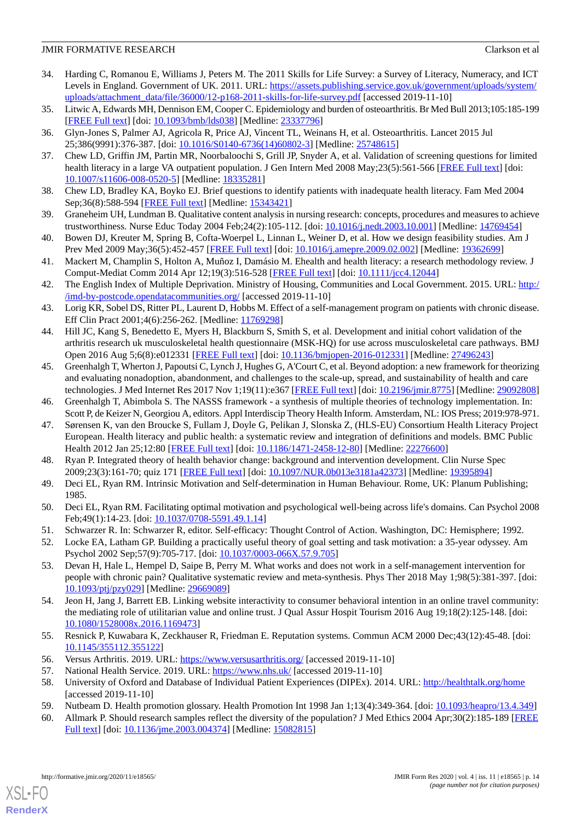- <span id="page-13-0"></span>34. Harding C, Romanou E, Williams J, Peters M. The 2011 Skills for Life Survey: a Survey of Literacy, Numeracy, and ICT Levels in England. Government of UK. 2011. URL: [https://assets.publishing.service.gov.uk/government/uploads/system/](https://assets.publishing.service.gov.uk/government/uploads/system/uploads/attachment_data/file/36000/12-p168-2011-skills-for-life-survey.pdf) [uploads/attachment\\_data/file/36000/12-p168-2011-skills-for-life-survey.pdf](https://assets.publishing.service.gov.uk/government/uploads/system/uploads/attachment_data/file/36000/12-p168-2011-skills-for-life-survey.pdf) [accessed 2019-11-10]
- <span id="page-13-2"></span><span id="page-13-1"></span>35. Litwic A, Edwards MH, Dennison EM, Cooper C. Epidemiology and burden of osteoarthritis. Br Med Bull 2013;105:185-199 [[FREE Full text](http://europepmc.org/abstract/MED/23337796)] [doi: [10.1093/bmb/lds038](http://dx.doi.org/10.1093/bmb/lds038)] [Medline: [23337796\]](http://www.ncbi.nlm.nih.gov/entrez/query.fcgi?cmd=Retrieve&db=PubMed&list_uids=23337796&dopt=Abstract)
- <span id="page-13-3"></span>36. Glyn-Jones S, Palmer AJ, Agricola R, Price AJ, Vincent TL, Weinans H, et al. Osteoarthritis. Lancet 2015 Jul 25;386(9991):376-387. [doi: [10.1016/S0140-6736\(14\)60802-3\]](http://dx.doi.org/10.1016/S0140-6736(14)60802-3) [Medline: [25748615](http://www.ncbi.nlm.nih.gov/entrez/query.fcgi?cmd=Retrieve&db=PubMed&list_uids=25748615&dopt=Abstract)]
- <span id="page-13-4"></span>37. Chew LD, Griffin JM, Partin MR, Noorbaloochi S, Grill JP, Snyder A, et al. Validation of screening questions for limited health literacy in a large VA outpatient population. J Gen Intern Med 2008 May;23(5):561-566 [\[FREE Full text\]](http://europepmc.org/abstract/MED/18335281) [doi: [10.1007/s11606-008-0520-5\]](http://dx.doi.org/10.1007/s11606-008-0520-5) [Medline: [18335281](http://www.ncbi.nlm.nih.gov/entrez/query.fcgi?cmd=Retrieve&db=PubMed&list_uids=18335281&dopt=Abstract)]
- <span id="page-13-5"></span>38. Chew LD, Bradley KA, Boyko EJ. Brief questions to identify patients with inadequate health literacy. Fam Med 2004 Sep;36(8):588-594 [[FREE Full text](http://www.stfm.org/fmhub/fm2004/September/Lisa588.pdf)] [Medline: [15343421](http://www.ncbi.nlm.nih.gov/entrez/query.fcgi?cmd=Retrieve&db=PubMed&list_uids=15343421&dopt=Abstract)]
- <span id="page-13-6"></span>39. Graneheim UH, Lundman B. Qualitative content analysis in nursing research: concepts, procedures and measures to achieve trustworthiness. Nurse Educ Today 2004 Feb;24(2):105-112. [doi: [10.1016/j.nedt.2003.10.001\]](http://dx.doi.org/10.1016/j.nedt.2003.10.001) [Medline: [14769454\]](http://www.ncbi.nlm.nih.gov/entrez/query.fcgi?cmd=Retrieve&db=PubMed&list_uids=14769454&dopt=Abstract)
- <span id="page-13-7"></span>40. Bowen DJ, Kreuter M, Spring B, Cofta-Woerpel L, Linnan L, Weiner D, et al. How we design feasibility studies. Am J Prev Med 2009 May;36(5):452-457 [\[FREE Full text\]](http://europepmc.org/abstract/MED/19362699) [doi: [10.1016/j.amepre.2009.02.002](http://dx.doi.org/10.1016/j.amepre.2009.02.002)] [Medline: [19362699](http://www.ncbi.nlm.nih.gov/entrez/query.fcgi?cmd=Retrieve&db=PubMed&list_uids=19362699&dopt=Abstract)]
- <span id="page-13-8"></span>41. Mackert M, Champlin S, Holton A, Muñoz I, Damásio M. Ehealth and health literacy: a research methodology review. J Comput-Mediat Comm 2014 Apr 12;19(3):516-528 [[FREE Full text\]](https://doi.org/10.1111/jcc4.12044) [doi: [10.1111/jcc4.12044\]](http://dx.doi.org/10.1111/jcc4.12044)
- <span id="page-13-9"></span>42. The English Index of Multiple Deprivation. Ministry of Housing, Communities and Local Government. 2015. URL: [http:/](http://imd-by-postcode.opendatacommunities.org/) [/imd-by-postcode.opendatacommunities.org/](http://imd-by-postcode.opendatacommunities.org/) [accessed 2019-11-10]
- <span id="page-13-10"></span>43. Lorig KR, Sobel DS, Ritter PL, Laurent D, Hobbs M. Effect of a self-management program on patients with chronic disease. Eff Clin Pract 2001;4(6):256-262. [Medline: [11769298\]](http://www.ncbi.nlm.nih.gov/entrez/query.fcgi?cmd=Retrieve&db=PubMed&list_uids=11769298&dopt=Abstract)
- <span id="page-13-11"></span>44. Hill JC, Kang S, Benedetto E, Myers H, Blackburn S, Smith S, et al. Development and initial cohort validation of the arthritis research uk musculoskeletal health questionnaire (MSK-HQ) for use across musculoskeletal care pathways. BMJ Open 2016 Aug 5;6(8):e012331 [\[FREE Full text\]](https://bmjopen.bmj.com/lookup/pmidlookup?view=long&pmid=27496243) [doi: [10.1136/bmjopen-2016-012331\]](http://dx.doi.org/10.1136/bmjopen-2016-012331) [Medline: [27496243\]](http://www.ncbi.nlm.nih.gov/entrez/query.fcgi?cmd=Retrieve&db=PubMed&list_uids=27496243&dopt=Abstract)
- <span id="page-13-13"></span><span id="page-13-12"></span>45. Greenhalgh T, Wherton J, Papoutsi C, Lynch J, Hughes G, A'Court C, et al. Beyond adoption: a new framework for theorizing and evaluating nonadoption, abandonment, and challenges to the scale-up, spread, and sustainability of health and care technologies. J Med Internet Res 2017 Nov 1;19(11):e367 [\[FREE Full text\]](https://www.jmir.org/2017/11/e367/) [doi: [10.2196/jmir.8775](http://dx.doi.org/10.2196/jmir.8775)] [Medline: [29092808](http://www.ncbi.nlm.nih.gov/entrez/query.fcgi?cmd=Retrieve&db=PubMed&list_uids=29092808&dopt=Abstract)]
- 46. Greenhalgh T, Abimbola S. The NASSS framework a synthesis of multiple theories of technology implementation. In: Scott P, de Keizer N, Georgiou A, editors. Appl Interdiscip Theory Health Inform. Amsterdam, NL: IOS Press; 2019:978-971.
- <span id="page-13-15"></span><span id="page-13-14"></span>47. Sørensen K, van den Broucke S, Fullam J, Doyle G, Pelikan J, Slonska Z, (HLS-EU) Consortium Health Literacy Project European. Health literacy and public health: a systematic review and integration of definitions and models. BMC Public Health 2012 Jan 25;12:80 [\[FREE Full text\]](https://bmcpublichealth.biomedcentral.com/articles/10.1186/1471-2458-12-80) [doi: [10.1186/1471-2458-12-80](http://dx.doi.org/10.1186/1471-2458-12-80)] [Medline: [22276600](http://www.ncbi.nlm.nih.gov/entrez/query.fcgi?cmd=Retrieve&db=PubMed&list_uids=22276600&dopt=Abstract)]
- <span id="page-13-16"></span>48. Ryan P. Integrated theory of health behavior change: background and intervention development. Clin Nurse Spec 2009;23(3):161-70; quiz 171 [[FREE Full text](http://europepmc.org/abstract/MED/19395894)] [doi: [10.1097/NUR.0b013e3181a42373](http://dx.doi.org/10.1097/NUR.0b013e3181a42373)] [Medline: [19395894](http://www.ncbi.nlm.nih.gov/entrez/query.fcgi?cmd=Retrieve&db=PubMed&list_uids=19395894&dopt=Abstract)]
- <span id="page-13-18"></span><span id="page-13-17"></span>49. Deci EL, Ryan RM. Intrinsic Motivation and Self-determination in Human Behaviour. Rome, UK: Planum Publishing; 1985.
- <span id="page-13-19"></span>50. Deci EL, Ryan RM. Facilitating optimal motivation and psychological well-being across life's domains. Can Psychol 2008 Feb;49(1):14-23. [doi: [10.1037/0708-5591.49.1.14\]](http://dx.doi.org/10.1037/0708-5591.49.1.14)
- 51. Schwarzer R. In: Schwarzer R, editor. Self-efficacy: Thought Control of Action. Washington, DC: Hemisphere; 1992.
- <span id="page-13-20"></span>52. Locke EA, Latham GP. Building a practically useful theory of goal setting and task motivation: a 35-year odyssey. Am Psychol 2002 Sep;57(9):705-717. [doi: [10.1037/0003-066X.57.9.705\]](http://dx.doi.org/10.1037/0003-066X.57.9.705)
- <span id="page-13-21"></span>53. Devan H, Hale L, Hempel D, Saipe B, Perry M. What works and does not work in a self-management intervention for people with chronic pain? Qualitative systematic review and meta-synthesis. Phys Ther 2018 May 1;98(5):381-397. [doi: [10.1093/ptj/pzy029\]](http://dx.doi.org/10.1093/ptj/pzy029) [Medline: [29669089](http://www.ncbi.nlm.nih.gov/entrez/query.fcgi?cmd=Retrieve&db=PubMed&list_uids=29669089&dopt=Abstract)]
- <span id="page-13-24"></span><span id="page-13-23"></span><span id="page-13-22"></span>54. Jeon H, Jang J, Barrett EB. Linking website interactivity to consumer behavioral intention in an online travel community: the mediating role of utilitarian value and online trust. J Qual Assur Hospit Tourism 2016 Aug 19;18(2):125-148. [doi: [10.1080/1528008x.2016.1169473\]](http://dx.doi.org/10.1080/1528008x.2016.1169473)
- <span id="page-13-26"></span><span id="page-13-25"></span>55. Resnick P, Kuwabara K, Zeckhauser R, Friedman E. Reputation systems. Commun ACM 2000 Dec;43(12):45-48. [doi: [10.1145/355112.355122](http://dx.doi.org/10.1145/355112.355122)]
- 56. Versus Arthritis. 2019. URL: <https://www.versusarthritis.org/> [accessed 2019-11-10]
- 57. National Health Service. 2019. URL: <https://www.nhs.uk/> [accessed 2019-11-10]
- 58. University of Oxford and Database of Individual Patient Experiences (DIPEx). 2014. URL: <http://healthtalk.org/home> [accessed 2019-11-10]
- 59. Nutbeam D. Health promotion glossary. Health Promotion Int 1998 Jan 1;13(4):349-364. [doi: [10.1093/heapro/13.4.349\]](http://dx.doi.org/10.1093/heapro/13.4.349)
- 60. Allmark P. Should research samples reflect the diversity of the population? J Med Ethics 2004 Apr;30(2):185-189 [[FREE](http://europepmc.org/abstract/MED/15082815) [Full text\]](http://europepmc.org/abstract/MED/15082815) [doi: [10.1136/jme.2003.004374](http://dx.doi.org/10.1136/jme.2003.004374)] [Medline: [15082815](http://www.ncbi.nlm.nih.gov/entrez/query.fcgi?cmd=Retrieve&db=PubMed&list_uids=15082815&dopt=Abstract)]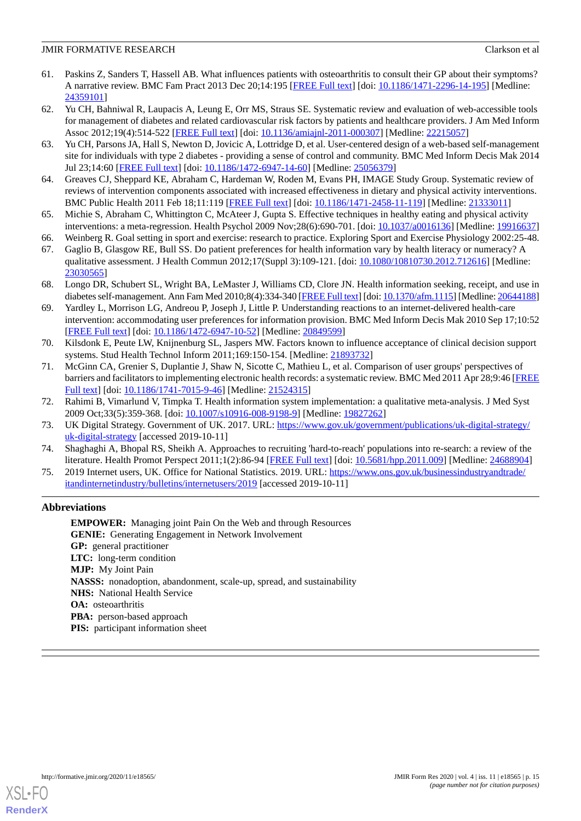- <span id="page-14-0"></span>61. Paskins Z, Sanders T, Hassell AB. What influences patients with osteoarthritis to consult their GP about their symptoms? A narrative review. BMC Fam Pract 2013 Dec 20;14:195 [\[FREE Full text\]](https://bmcfampract.biomedcentral.com/articles/10.1186/1471-2296-14-195) [doi: [10.1186/1471-2296-14-195](http://dx.doi.org/10.1186/1471-2296-14-195)] [Medline: [24359101](http://www.ncbi.nlm.nih.gov/entrez/query.fcgi?cmd=Retrieve&db=PubMed&list_uids=24359101&dopt=Abstract)]
- <span id="page-14-1"></span>62. Yu CH, Bahniwal R, Laupacis A, Leung E, Orr MS, Straus SE. Systematic review and evaluation of web-accessible tools for management of diabetes and related cardiovascular risk factors by patients and healthcare providers. J Am Med Inform Assoc 2012;19(4):514-522 [[FREE Full text](http://europepmc.org/abstract/MED/22215057)] [doi: [10.1136/amiajnl-2011-000307](http://dx.doi.org/10.1136/amiajnl-2011-000307)] [Medline: [22215057](http://www.ncbi.nlm.nih.gov/entrez/query.fcgi?cmd=Retrieve&db=PubMed&list_uids=22215057&dopt=Abstract)]
- <span id="page-14-2"></span>63. Yu CH, Parsons JA, Hall S, Newton D, Jovicic A, Lottridge D, et al. User-centered design of a web-based self-management site for individuals with type 2 diabetes - providing a sense of control and community. BMC Med Inform Decis Mak 2014 Jul 23;14:60 [\[FREE Full text](https://bmcmedinformdecismak.biomedcentral.com/articles/10.1186/1472-6947-14-60)] [doi: [10.1186/1472-6947-14-60\]](http://dx.doi.org/10.1186/1472-6947-14-60) [Medline: [25056379\]](http://www.ncbi.nlm.nih.gov/entrez/query.fcgi?cmd=Retrieve&db=PubMed&list_uids=25056379&dopt=Abstract)
- <span id="page-14-4"></span><span id="page-14-3"></span>64. Greaves CJ, Sheppard KE, Abraham C, Hardeman W, Roden M, Evans PH, IMAGE Study Group. Systematic review of reviews of intervention components associated with increased effectiveness in dietary and physical activity interventions. BMC Public Health 2011 Feb 18;11:119 [[FREE Full text](https://bmcpublichealth.biomedcentral.com/articles/10.1186/1471-2458-11-119)] [doi: [10.1186/1471-2458-11-119\]](http://dx.doi.org/10.1186/1471-2458-11-119) [Medline: [21333011](http://www.ncbi.nlm.nih.gov/entrez/query.fcgi?cmd=Retrieve&db=PubMed&list_uids=21333011&dopt=Abstract)]
- <span id="page-14-6"></span><span id="page-14-5"></span>65. Michie S, Abraham C, Whittington C, McAteer J, Gupta S. Effective techniques in healthy eating and physical activity interventions: a meta-regression. Health Psychol 2009 Nov;28(6):690-701. [doi: [10.1037/a0016136](http://dx.doi.org/10.1037/a0016136)] [Medline: [19916637](http://www.ncbi.nlm.nih.gov/entrez/query.fcgi?cmd=Retrieve&db=PubMed&list_uids=19916637&dopt=Abstract)]
- 66. Weinberg R. Goal setting in sport and exercise: research to practice. Exploring Sport and Exercise Physiology 2002:25-48.
- 67. Gaglio B, Glasgow RE, Bull SS. Do patient preferences for health information vary by health literacy or numeracy? A qualitative assessment. J Health Commun 2012;17(Suppl 3):109-121. [doi: [10.1080/10810730.2012.712616\]](http://dx.doi.org/10.1080/10810730.2012.712616) [Medline: [23030565](http://www.ncbi.nlm.nih.gov/entrez/query.fcgi?cmd=Retrieve&db=PubMed&list_uids=23030565&dopt=Abstract)]
- <span id="page-14-7"></span>68. Longo DR, Schubert SL, Wright BA, LeMaster J, Williams CD, Clore JN. Health information seeking, receipt, and use in diabetes self-management. Ann Fam Med 2010;8(4):334-340 [\[FREE Full text](http://www.annfammed.org/cgi/pmidlookup?view=long&pmid=20644188)] [doi: [10.1370/afm.1115\]](http://dx.doi.org/10.1370/afm.1115) [Medline: [20644188](http://www.ncbi.nlm.nih.gov/entrez/query.fcgi?cmd=Retrieve&db=PubMed&list_uids=20644188&dopt=Abstract)]
- <span id="page-14-8"></span>69. Yardley L, Morrison LG, Andreou P, Joseph J, Little P. Understanding reactions to an internet-delivered health-care intervention: accommodating user preferences for information provision. BMC Med Inform Decis Mak 2010 Sep 17;10:52 [[FREE Full text](https://bmcmedinformdecismak.biomedcentral.com/articles/10.1186/1472-6947-10-52)] [doi: [10.1186/1472-6947-10-52\]](http://dx.doi.org/10.1186/1472-6947-10-52) [Medline: [20849599](http://www.ncbi.nlm.nih.gov/entrez/query.fcgi?cmd=Retrieve&db=PubMed&list_uids=20849599&dopt=Abstract)]
- <span id="page-14-9"></span>70. Kilsdonk E, Peute LW, Knijnenburg SL, Jaspers MW. Factors known to influence acceptance of clinical decision support systems. Stud Health Technol Inform 2011;169:150-154. [Medline: [21893732\]](http://www.ncbi.nlm.nih.gov/entrez/query.fcgi?cmd=Retrieve&db=PubMed&list_uids=21893732&dopt=Abstract)
- <span id="page-14-11"></span><span id="page-14-10"></span>71. McGinn CA, Grenier S, Duplantie J, Shaw N, Sicotte C, Mathieu L, et al. Comparison of user groups' perspectives of barriers and facilitators to implementing electronic health records: a systematic review. BMC Med 2011 Apr 28;9:46 [\[FREE](https://bmcmedicine.biomedcentral.com/articles/10.1186/1741-7015-9-46) [Full text\]](https://bmcmedicine.biomedcentral.com/articles/10.1186/1741-7015-9-46) [doi: [10.1186/1741-7015-9-46\]](http://dx.doi.org/10.1186/1741-7015-9-46) [Medline: [21524315](http://www.ncbi.nlm.nih.gov/entrez/query.fcgi?cmd=Retrieve&db=PubMed&list_uids=21524315&dopt=Abstract)]
- <span id="page-14-12"></span>72. Rahimi B, Vimarlund V, Timpka T. Health information system implementation: a qualitative meta-analysis. J Med Syst 2009 Oct;33(5):359-368. [doi: [10.1007/s10916-008-9198-9\]](http://dx.doi.org/10.1007/s10916-008-9198-9) [Medline: [19827262](http://www.ncbi.nlm.nih.gov/entrez/query.fcgi?cmd=Retrieve&db=PubMed&list_uids=19827262&dopt=Abstract)]
- <span id="page-14-13"></span>73. UK Digital Strategy. Government of UK. 2017. URL: [https://www.gov.uk/government/publications/uk-digital-strategy/](https://www.gov.uk/government/publications/uk-digital-strategy/uk-digital-strategy) [uk-digital-strategy](https://www.gov.uk/government/publications/uk-digital-strategy/uk-digital-strategy) [accessed 2019-10-11]
- 74. Shaghaghi A, Bhopal RS, Sheikh A. Approaches to recruiting 'hard-to-reach' populations into re-search: a review of the literature. Health Promot Perspect 2011;1(2):86-94 [\[FREE Full text\]](http://europepmc.org/abstract/MED/24688904) [doi: [10.5681/hpp.2011.009](http://dx.doi.org/10.5681/hpp.2011.009)] [Medline: [24688904](http://www.ncbi.nlm.nih.gov/entrez/query.fcgi?cmd=Retrieve&db=PubMed&list_uids=24688904&dopt=Abstract)]
- 75. 2019 Internet users, UK. Office for National Statistics. 2019. URL: [https://www.ons.gov.uk/businessindustryandtrade/](https://www.ons.gov.uk/businessindustryandtrade/itandinternetindustry/bulletins/internetusers/2019) [itandinternetindustry/bulletins/internetusers/2019](https://www.ons.gov.uk/businessindustryandtrade/itandinternetindustry/bulletins/internetusers/2019) [accessed 2019-10-11]

## **Abbreviations**

**EMPOWER:** Managing joint Pain On the Web and through Resources **GENIE:** Generating Engagement in Network Involvement **GP:** general practitioner **LTC:** long-term condition **MJP:** My Joint Pain **NASSS:** nonadoption, abandonment, scale-up, spread, and sustainability **NHS:** National Health Service **OA**: osteoarthritis **PBA:** person-based approach **PIS:** participant information sheet